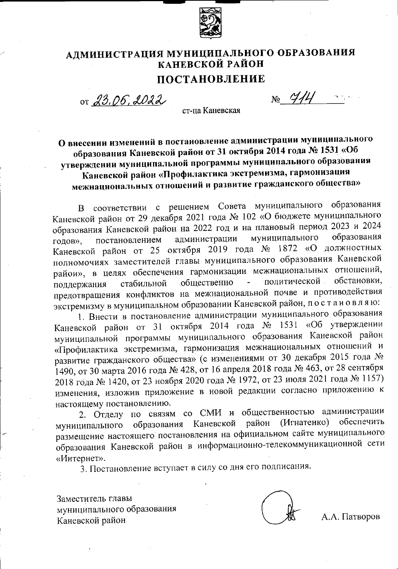

# АДМИНИСТРАЦИЯ МУНИЦИПАЛЬНОГО ОБРАЗОВАНИЯ КАНЕВСКОЙ РАЙОН ПОСТАНОВЛЕНИЕ

ст-на Каневская

or 23.06, 2022

 $N_2$  4/4

# О внесении изменений в постановление администрации муниципального образования Каневской район от 31 октября 2014 года № 1531 «Об утверждении муниципальной программы муниципального образования Каневской район «Профилактика экстремизма, гармонизация межнациональных отношений и развитие гражданского общества»

В соответствии с решением Совета муниципального образования Каневской район от 29 декабря 2021 года № 102 «О бюджете муниципального образования Каневской район на 2022 год и на плановый период 2023 и 2024 муниципального образования администрации постановлением голов». Каневской район от 25 октября 2019 года № 1872 «О должностных полномочиях заместителей главы муниципального образования Каневской район», в целях обеспечения гармонизации межнациональных отношений, политической обстановки, общественно  $\omega$ стабильной поддержания предотвращения конфликтов на межнациональной почве и противодействия экстремизму в муниципальном образовании Каневской район, постановляю:

1. Внести в постановление администрации муниципального образования Каневской район от 31 октября 2014 года № 1531 «Об утверждении муниципальной программы муниципального образования Каневской район «Профилактика экстремизма, гармонизация межнациональных отношений и развитие гражданского общества» (с изменениями от 30 декабря 2015 года № 1490, от 30 марта 2016 года № 428, от 16 апреля 2018 года № 463, от 28 сентября 2018 года № 1420, от 23 ноября 2020 года № 1972, от 23 июля 2021 года № 1157) изменения, изложив приложение в новой редакции согласно приложению к настоящему постановлению.

2. Отделу по связям со СМИ и общественностью администрации образования Каневской район (Игнатенко) обеспечить муниципального размещение настоящего постановления на официальном сайте муниципального образования Каневской район в информационно-телекоммуникационной сети «Интернет».

3. Постановление вступает в силу со дня его подписания.

Заместитель главы муниципального образования Каневской район



А.А. Патворов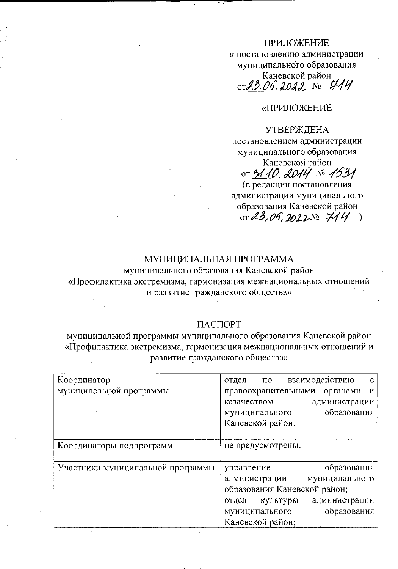#### ПРИЛОЖЕНИЕ

к постановлению администрации муниципального образования Каневской район or23.06,2022 No 714

### «ГІРИЛОЖЕНИЕ

#### **УТВЕРЖДЕНА**

постановлением администрации муниципального образования

Каневской район от 31.10. 2014 № 1531

(в редакции постановления администрации муниципального образования Каневской район  $or 23,05,2022N$   $7/4$ 

### МУНИЦИПАЛЬНАЯ ПРОГРАММА

муниципального образования Каневской район

«Профилактика экстремизма, гармонизация межнациональных отношений и развитие гражданского общества»

### ПАСПОРТ

муниципальной программы муниципального образования Каневской район «Профилактика экстремизма, гармонизация межнациональных отношений и развитие гражданского общества»

| Координатор                       | взаимодействию<br>$\Pi$ O<br>отдел<br>$\mathbf{C}$ |
|-----------------------------------|----------------------------------------------------|
| муниципальной программы           | органами<br>правоохранительными<br>И               |
|                                   | администрации<br>казачеством                       |
|                                   | образования<br>муниципального                      |
|                                   | Каневской район.                                   |
| Координаторы подпрограмм          | не предусмотрены.                                  |
| Участники муниципальной программы | образования<br>управление                          |
|                                   | администрации<br>муниципального                    |
|                                   | образования Каневской район;                       |
|                                   | администрации<br>культуры<br>отдел                 |
|                                   | образования<br>муниципального                      |
|                                   | Каневской район;                                   |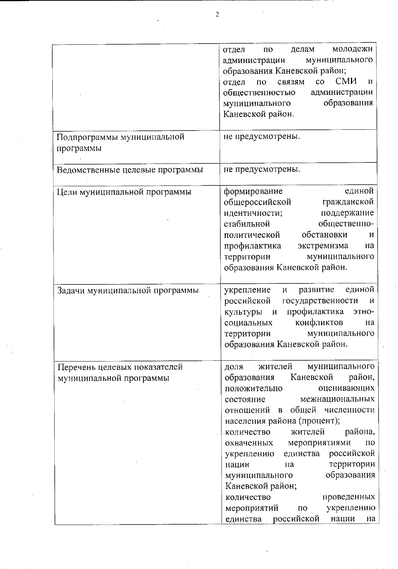|                                                         | 2                                                                                                                                                                                                                                                                                                                                                                                                                                                                                                                                   |
|---------------------------------------------------------|-------------------------------------------------------------------------------------------------------------------------------------------------------------------------------------------------------------------------------------------------------------------------------------------------------------------------------------------------------------------------------------------------------------------------------------------------------------------------------------------------------------------------------------|
|                                                         |                                                                                                                                                                                                                                                                                                                                                                                                                                                                                                                                     |
|                                                         | молодежи<br>делам<br>отдел<br>$\overline{10}$<br>муниципального<br>администрации<br>образования Каневской район;<br><b>CMM</b><br>$\rm{co}$<br>И<br>связям<br>отдел<br>$\Pi$ O<br>общественностью<br>администрации<br>образования<br>муниципального<br>Каневской район.                                                                                                                                                                                                                                                             |
| Подпрограммы муниципальной<br>программы                 | не предусмотрены.                                                                                                                                                                                                                                                                                                                                                                                                                                                                                                                   |
| Ведомственные целевые программы                         | не предусмотрены.                                                                                                                                                                                                                                                                                                                                                                                                                                                                                                                   |
| Цели муниципальной программы                            | единой<br>формирование<br>общероссийской<br>гражданской<br>идентичности;<br>поддержание<br>общественно-<br>стабильной<br>обстановки<br>политической<br>И<br>профилактика<br>экстремизма<br>на<br>территории<br>муниципального<br>образования Каневской район.                                                                                                                                                                                                                                                                       |
| Задачи муниципальной программы                          | единой<br>развитие<br>укрепление<br>И<br>российской государственности<br>и<br>и профилактика<br>ЭТНО-<br>культуры<br>конфликтов<br>социальных<br>на<br>муниципального<br>территории<br>образования Каневской район.                                                                                                                                                                                                                                                                                                                 |
| Перечень целевых показателей<br>муниципальной программы | жителей<br>муниципального<br>доля<br>Каневской<br>район,<br>образования<br>положительно<br>оценивающих<br>межнациональных<br>состояние<br>отношений в общей численности<br>населения района (процент);<br>жителей<br>района,<br>количество<br>мероприятиями<br>ПО<br>охваченных<br>единства российской<br>укреплению<br>территории<br>нации<br>на<br>образования<br>муниципального<br>Каневской район;<br>проведенных<br>количество<br>укреплению<br>мероприятий<br>$\mathbf{n}\mathbf{o}$<br>российской<br>единства<br>нации<br>на |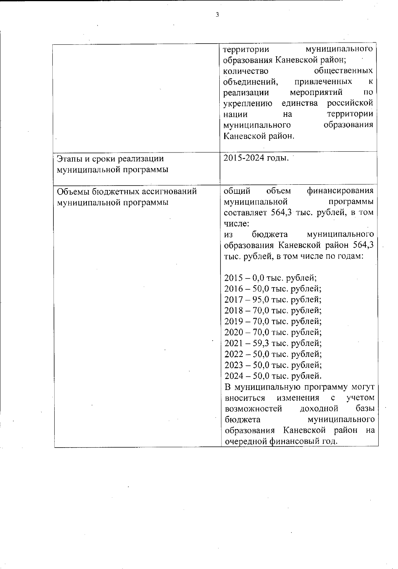|                               | муниципального<br>территории                                |
|-------------------------------|-------------------------------------------------------------|
|                               | образования Каневской район;                                |
|                               | общественных<br>количество                                  |
|                               | объединений,<br>привлеченных<br>К                           |
|                               | мероприятий<br>реализации<br>$\overline{10}$                |
|                               | единства российской<br>укреплению                           |
|                               | территории<br>нации<br>на                                   |
|                               | образования<br>муниципального                               |
|                               | Каневской район.                                            |
| Этапы и сроки реализации      | 2015-2024 годы.                                             |
| муниципальной программы       |                                                             |
| Объемы бюджетных ассигнований | общий<br>объем<br>финансирования                            |
| муниципальной программы       | муниципальной<br>программы                                  |
|                               | составляет 564,3 тыс. рублей, в том<br>числе:               |
|                               | бюджета<br>муниципального<br>И3                             |
|                               | образования Каневской район 564,3                           |
|                               | тыс. рублей, в том числе по годам:                          |
|                               | $2015 - 0,0$ тыс. рублей;                                   |
|                               | 2016 - 50,0 тыс. рублей;                                    |
|                               | 2017 – 95,0 тыс. рублей;                                    |
|                               | 2018 - 70,0 тыс. рублей;                                    |
|                               | 2019 - 70,0 тыс. рублей;                                    |
|                               | 2020 - 70,0 тыс. рублей;                                    |
|                               | 2021 - 59,3 тыс. рублей;                                    |
|                               | 2022 - 50,0 тыс. рублей;                                    |
|                               | 2023 - 50,0 тыс. рублей;                                    |
|                               | 2024 - 50,0 тыс. рублей.                                    |
|                               | В муниципальную программу могут                             |
|                               | учетом<br>вноситься<br>изменения<br>$\mathbf C$<br>базы     |
|                               | доходной<br>возможностей                                    |
|                               |                                                             |
|                               | бюджета<br>муниципального                                   |
|                               | образования Каневской район на<br>очередной финансовый год. |

i<br>S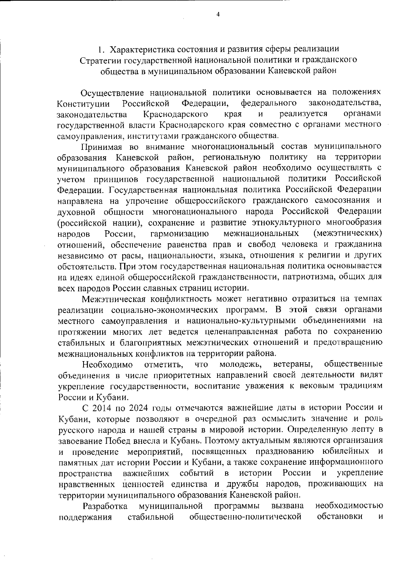## 1. Характеристика состояния и развития сферы реализации Стратегии государственной национальной политики и гражданского общества в муниципальном образовании Каневской район

Осуществление национальной политики основывается на положениях Российской Федерации, федерального законодательства, Конституции реализуется Краснодарского края  $\overline{M}$ органами законодательства государственной власти Краснодарского края совместно с органами местного самоуправления, институтами гражданского общества.

Принимая во внимание многонациональный состав муниципального образования Каневской район, региональную политику на территории муниципального образования Каневской район необходимо осуществлять с учетом принципов государственной национальной политики Российской Федерации. Государственная национальная политика Российской Федерации направлена на упрочение общероссийского гражданского самосознания и духовной общности многонационального народа Российской Федерации (российской нации), сохранение и развитие этнокультурного многообразия межнациональных (межэтнических) гармонизацию России, народов отношений, обеспечение равенства прав и свобод человека и гражданина независимо от расы, национальности, языка, отношения к религии и других обстоятельств. При этом государственная национальная политика основывается на идеях единой общероссийской гражданственности, патриотизма, общих для всех народов России славных страниц истории.

Межэтническая конфликтность может негативно отразиться на темпах реализации социально-экономических программ. В этой связи органами местного самоуправления и национально-культурными объединениями на протяжении многих лет ведется целенаправленная работа по сохранению стабильных и благоприятных межэтнических отношений и предотвращению межнациональных конфликтов на территории района.

общественные отметить, что молодежь, ветераны, Необходимо объединения в числе приоритетных направлений своей деятельности видят укрепление государственности, воспитание уважения к вековым традициям России и Кубани.

С 2014 по 2024 годы отмечаются важнейшие даты в истории России и Кубани, которые позволяют в очередной раз осмыслить значение и роль русского народа и нашей страны в мировой истории. Определенную лепту в завоевание Побед внесла и Кубань. Поэтому актуальным являются организация и проведение мероприятий, посвященных празднованию юбилейных и памятных дат истории России и Кубани, а также сохранение информационного событий истории России  $\mathbf{M}$ укрепление  $\overline{\mathbf{B}}$ пространства важнейших нравственных ценностей единства и дружбы народов, проживающих на территории муниципального образования Каневской район.

муниципальной программы необходимостью Разработка вызвана поддержания стабильной общественно-политической обстановки  $\overline{M}$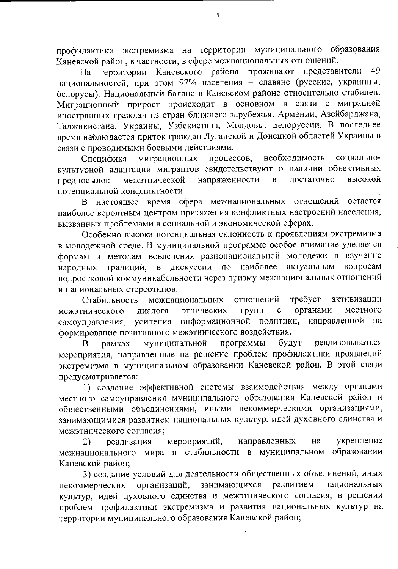профилактики экстремизма на территории муниципального образования Каневской район, в частности, в сфере межнациональных отношений.

49 На территории Каневского района проживают представители национальностей, при этом 97% населения - славяне (русские, украинцы, белорусы). Национальный баланс в Каневском районе относительно стабилен. Миграционный прирост происходит в основном в связи с миграцией иностранных граждан из стран ближнего зарубежья: Армении, Азейбарджана, Таджикистана, Украины, Узбекистана, Молдовы, Белоруссии. В последнее время наблюдается приток граждан Луганской и Донецкой областей Украины в связи с проводимыми боевыми действиями.

необходимость процессов, социально-Специфика миграционных культурной адаптации мигрантов свидетельствуют о наличии объективных межэтнической напряженности  $\overline{\mathbf{M}}$ достаточно высокой предпосылок потенциальной конфликтности.

В настоящее время сфера межнациональных отношений остается наиболее вероятным центром притяжения конфликтных настроений населения, вызванных проблемами в социальной и экономической сферах.

Особенно высока потенциальная склонность к проявлениям экстремизма в молодежной среде. В муниципальной программе особое внимание уделяется формам и методам вовлечения разнонациональной молодежи в изучение вопросам традиций, в дискуссии по наиболее народных актуальным подростковой коммуникабельности через призму межнациональных отношений и национальных стереотипов.

отношений требует Стабильность межнациональных активизации органами этнических групп  $\mathbf c$ местного межэтнического диалога самоуправления, усиления информационной политики, направленной на формирование позитивного межэтнического воздействия.

программы муниципальной будут реализовываться  $\mathbf{B}$ рамках мероприятия, направленные на решение проблем профилактики проявлений экстремизма в муниципальном образовании Каневской район. В этой связи предусматривается:

1) создание эффективной системы взаимодействия между органами местного самоуправления муниципального образования Каневской район и общественными объединениями, иными некоммерческими организациями, занимающимися развитием национальных культур, идей духовного единства и межэтнического согласия;

мероприятий, направленных на укрепление 2) реализация межнационального мира и стабильности в муниципальном образовании Каневской район;

3) создание условий для деятельности общественных объединений, иных развитием национальных организаций, занимающихся некоммерческих культур, идей духовного единства и межэтнического согласия, в решении проблем профилактики экстремизма и развития национальных культур на территории муниципального образования Каневской район;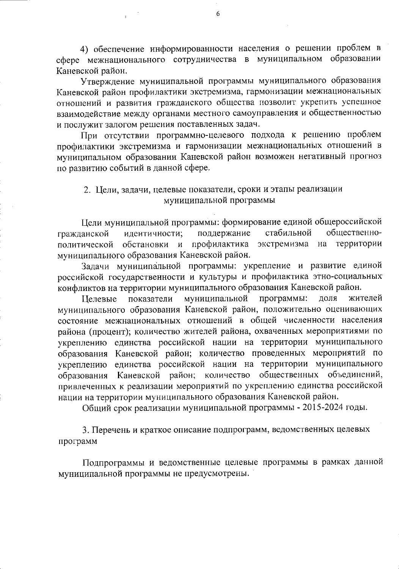4) обеспечение информированности населения о решении проблем в сфере межнационального сотрудничества в муниципальном образовании Каневской район.

Утверждение муниципальной программы муниципального образования Каневской район профилактики экстремизма, гармонизации межнациональных отношений и развития гражданского общества позволит укрепить успешное взаимодействие между органами местного самоуправления и общественностью и послужит залогом решения поставленных задач.

При отсутствии программно-целевого подхода к решению проблем профилактики экстремизма и гармонизации межнациональных отношений в муниципальном образовании Каневской район возможен негативный прогноз по развитию событий в данной сфере.

#### 2. Цели, задачи, целевые показатели, сроки и этапы реализации муниципальной программы

Цели муниципальной программы: формирование единой общероссийской поддержание стабильной общественногражданской идентичности; на территории политической обстановки  $\mathbf{M}$ профилактика экстремизма муниципального образования Каневской район.

Задачи муниципальной программы: укрепление и развитие единой российской государственности и культуры и профилактика этно-социальных конфликтов на территории муниципального образования Каневской район.

муниципальной программы: доля показатели жителей Целевые муниципального образования Каневской район, положительно оценивающих состояние межнациональных отношений в общей численности населения района (процент); количество жителей района, охваченных мероприятиями по укреплению единства российской нации на территории муниципального образования Каневской район; количество проведенных мероприятий по укреплению единства российской нации на территории муниципального образования Каневской район; количество общественных объединений, привлеченных к реализации мероприятий по укреплению единства российской нации на территории муниципального образования Каневской район.

Общий срок реализации муниципальной программы - 2015-2024 годы.

3. Перечень и краткое описание подпрограмм, ведомственных целевых программ

Подпрограммы и ведомственные целевые программы в рамках данной муниципальной программы не предусмотрены.

6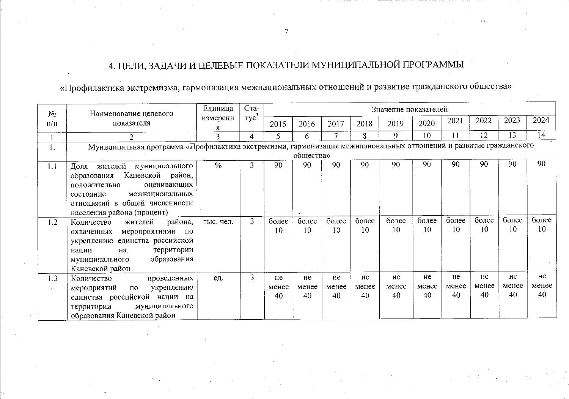# 4. ЦЕЛИ, ЗАДАЧИ И ЦЕЛЕВЫЕ ПОКАЗАТЕЛИ МУНИЦИПАЛЬНОЙ ПРОГРАММЫ

# «Профилактика экстремизма, гармонизация межнациональных отношений и развитие гражданского общества»

| N <sub>2</sub> | Наименование целевого                                                                                             | Единица       | C <sub>Ta</sub> - |       |           |       |       | Значение показателей |       |       |                 |       |                 |
|----------------|-------------------------------------------------------------------------------------------------------------------|---------------|-------------------|-------|-----------|-------|-------|----------------------|-------|-------|-----------------|-------|-----------------|
| $\pi/\pi$      | показателя                                                                                                        | измерени<br>я | Tyc <sup>*</sup>  | 2015  | 2016      | 2017  | 2018  | 2019                 | 2020  | 2021  | 2022            | 2023  | 2024            |
|                | 2                                                                                                                 | 3             | 4                 | 5     | 6         |       | 8     | 9                    | 10    | 11    | 12              | 13    | 14              |
| 1.             | Муниципальная программа «Профилактика экстремизма, гармонизация межнациональных отношений и развитие гражданского |               |                   |       |           |       |       |                      |       |       |                 |       |                 |
|                |                                                                                                                   |               |                   |       | общества» |       |       |                      |       |       |                 |       |                 |
| 1.1            | жителей муниципального<br>Доля                                                                                    | $\frac{0}{6}$ |                   | 90    | 90        | 90    | 90    | 90                   | 90    | 90    | 90              | 90    | 90              |
|                | Каневской<br>район,<br>образования                                                                                |               |                   |       |           |       |       |                      |       |       |                 |       |                 |
|                | оценивающих<br>положительно                                                                                       |               |                   |       |           |       |       |                      |       |       |                 |       |                 |
|                | межнациональных<br>состояние                                                                                      |               |                   |       |           |       |       |                      |       |       |                 |       |                 |
|                | отношений в общей численности                                                                                     |               |                   |       |           |       |       |                      |       |       |                 |       |                 |
|                | населения района (процент)                                                                                        |               |                   |       |           |       |       |                      |       |       |                 |       |                 |
| 1.2            | района,<br>Количество<br>жителей                                                                                  | тыс. чел.     | $\overline{3}$    | более | более     | более | более | более                | более | более | более           | более | более           |
|                | мероприятиями<br>по<br>охваченных                                                                                 |               |                   | 10    | 10        | 10    | 10    | 10                   | 10    | 10    | 10 <sup>°</sup> | 10    | 10 <sup>°</sup> |
|                | укреплению единства российской                                                                                    |               |                   |       |           |       |       |                      |       |       |                 |       |                 |
|                | территории<br>нации<br>на                                                                                         |               |                   |       |           |       |       |                      |       |       |                 |       |                 |
|                | образования<br>муниципального                                                                                     |               |                   |       |           |       |       |                      |       |       |                 |       |                 |
|                | Каневской район                                                                                                   |               |                   |       |           |       |       |                      |       |       |                 |       |                 |
| 1.3            | Количество<br>проведенных                                                                                         | ед.           | 3                 | He    | He        | HC    | He    | He                   | He    | He    | He              | He    | He              |
|                | мероприятий<br>укреплению<br>по                                                                                   |               |                   | менее | менее     | менее | менее | менее                | менее | менее | менее           | менее | менее           |
|                | единства российской нации на                                                                                      |               |                   | 40    | 40        | 40    | 40    | 40                   | 40    | 40    | 40              | 40    | 40              |
|                | муниципального<br>территории                                                                                      |               |                   |       |           |       |       |                      |       |       |                 |       |                 |
|                | образования Каневской район                                                                                       |               |                   |       |           |       |       |                      |       |       |                 |       |                 |

 $\overline{7}$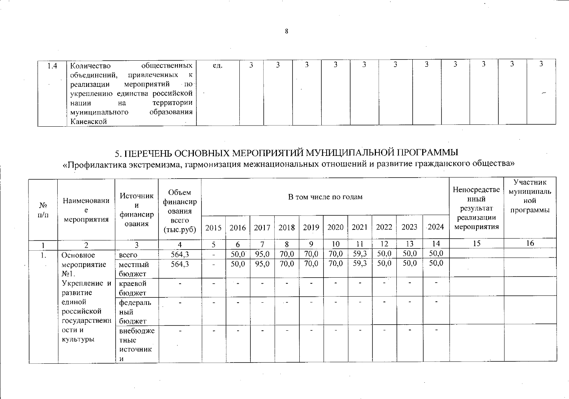| 4.4 | общественных<br>Количество                      | eд. |  |  |  |  |  |  |
|-----|-------------------------------------------------|-----|--|--|--|--|--|--|
|     | объединений,<br>привлеченных<br>К               |     |  |  |  |  |  |  |
|     | мероприятий<br>$\cdot$ NO $\cdot$<br>реализации |     |  |  |  |  |  |  |
|     | чукреплению единства российской                 |     |  |  |  |  |  |  |
|     | территории  <br>на<br>нации                     |     |  |  |  |  |  |  |
|     | образования<br>иуниципального и                 |     |  |  |  |  |  |  |
|     | Каневской                                       |     |  |  |  |  |  |  |

# 5. ПЕРЕЧЕНЬ ОСНОВНЫХ МЕРОПРИЯТИЙ МУНИЦИПАЛЬНОЙ ПРОГРАММЫ

«Профилактика экстремизма, гармонизация межнациональных отношений и развитие гражданского общества»

| $N_2$<br>$\pi/\pi$                    | Наименовани<br>e<br>мероприятия | Источник<br>И<br><b>финансир</b><br>ования | Объем<br>финансир<br>ования<br>всего<br>(T <sub>bl</sub> C.py <sub>0</sub> ) | 2015                     | 2016 | 2017                     | 2018 | В том числе по годам<br>2019 | 2020 | 2021 | 2022                 | 2023 | $-2024$ | Непосредстве<br>нный<br>результат<br>реализации<br>мероприятия | Участник<br>муниципаль<br>ной<br>программы |
|---------------------------------------|---------------------------------|--------------------------------------------|------------------------------------------------------------------------------|--------------------------|------|--------------------------|------|------------------------------|------|------|----------------------|------|---------|----------------------------------------------------------------|--------------------------------------------|
|                                       | $\mathcal{P}$                   | $\mathbf{R}$                               | 4                                                                            | 5                        | 6    | 7                        | 8    | 9                            | 10   | 11   | 12                   | 13   | 14      | 15                                                             | 16                                         |
| 1.                                    | Основное                        | всего                                      | 564,3                                                                        | $\overline{\phantom{a}}$ | 50,0 | 95,0                     | 70,0 | 70,0                         | 70,0 | 59,3 | 50,0                 | 50,0 | 50,0    |                                                                |                                            |
| $\ddot{\phantom{1}}$                  | мероприятие                     | местный                                    | 564,3                                                                        | $\overline{\phantom{a}}$ | 50,0 | 95,0                     | 70,0 | 70,0                         | 70,0 | 59,3 | 50,0                 | 50,0 | 50,0    |                                                                |                                            |
|                                       | $N01$ .<br>бюджет               |                                            |                                                                              |                          |      |                          |      |                              |      |      |                      |      |         |                                                                |                                            |
|                                       | Укрепление и<br>развитие        | краевой<br>бюджет                          |                                                                              |                          |      |                          |      |                              |      |      | $\ddot{\phantom{1}}$ |      |         |                                                                |                                            |
| единой<br>российской<br>государственн | федераль<br>ный<br>бюджет       |                                            | $\overline{\phantom{0}}$                                                     |                          |      | $\overline{\phantom{0}}$ |      |                              |      |      |                      |      |         |                                                                |                                            |
|                                       | ости и<br>внебюдже              |                                            |                                                                              | $\bullet$                |      |                          |      |                              |      |      |                      |      |         |                                                                |                                            |
|                                       | культуры                        | тные<br>источник<br>и                      |                                                                              |                          |      |                          |      |                              |      |      |                      |      |         |                                                                |                                            |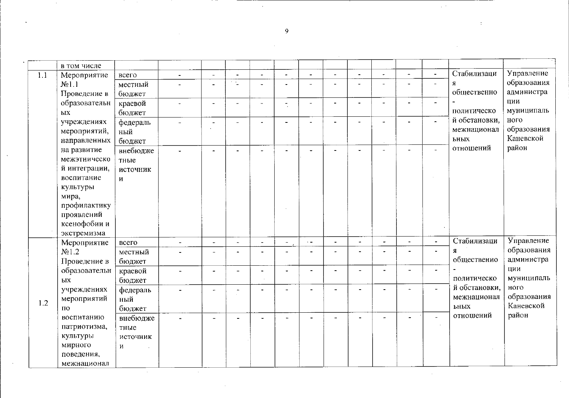|     | в том числе        |          |                          |                          |                            |                          |                          |                          |                          |                   |                          |                          |                      |               |             |
|-----|--------------------|----------|--------------------------|--------------------------|----------------------------|--------------------------|--------------------------|--------------------------|--------------------------|-------------------|--------------------------|--------------------------|----------------------|---------------|-------------|
| 1.1 | Мероприятие        | всего    | $\blacksquare$           | $\overline{\phantom{a}}$ | $\blacksquare$             | $\blacksquare$           | $\tilde{\phantom{a}}$    | $\overline{\phantom{a}}$ | $\blacksquare$           | $\blacksquare$    | $\ddot{\phantom{1}}$     | $\tilde{\phantom{a}}$    | $\blacksquare$       | Стабилизаци   | Управление  |
|     | N <sub>2</sub> 1.1 | местный  |                          |                          | $\gamma$ $\gamma_{\omega}$ |                          |                          | $\overline{\phantom{0}}$ |                          |                   |                          |                          |                      | Я             | образования |
|     | Проведение в       | бюджет   |                          |                          |                            |                          |                          |                          |                          |                   |                          |                          |                      | общественно   | администра  |
|     | образовательн      | краевой  | ÷                        | $\blacksquare$           | ÷                          | ۳                        | $\overline{\phantom{0}}$ | $\ddot{\phantom{1}}$     |                          |                   | $\overline{\phantom{a}}$ | $\blacksquare$           | $\Delta$             |               | ЦИИ         |
|     | $\mathbf{b}$ IX    | бюджет   |                          |                          |                            |                          |                          |                          |                          |                   |                          |                          |                      | политическо   | муниципаль  |
|     | учреждениях        | федераль | $\overline{\phantom{0}}$ | $\blacksquare$           | $\equiv$                   | $\blacksquare$           | $\blacksquare$           | $\mathbf{r}$             |                          |                   |                          |                          | $\blacksquare$       | й обстановки, | ного        |
|     | мероприятий,       | ный      |                          |                          |                            |                          |                          |                          |                          |                   |                          |                          |                      | межнационал   | образования |
|     | направленных       | бюджет   |                          |                          |                            |                          |                          |                          |                          |                   |                          |                          |                      | ьных          | Каневской   |
|     | на развитие        | внебюдже | $\overline{a}$           |                          |                            |                          |                          |                          |                          |                   |                          |                          |                      | отношений     | район       |
|     | межэтническо       | тные     |                          |                          |                            |                          |                          |                          |                          |                   |                          |                          |                      |               |             |
|     | й интеграции,      | источник |                          |                          |                            |                          |                          |                          |                          |                   |                          |                          |                      |               |             |
|     | воспитание         | И        |                          |                          |                            |                          |                          |                          |                          |                   |                          |                          |                      |               |             |
|     | культуры           |          |                          |                          |                            |                          |                          |                          |                          |                   |                          |                          |                      |               |             |
|     | мира,              |          |                          |                          |                            |                          |                          |                          |                          |                   |                          |                          |                      |               |             |
|     | профилактику       |          |                          |                          |                            |                          |                          |                          |                          |                   |                          |                          |                      |               |             |
|     | проявлений         |          |                          |                          |                            |                          |                          |                          |                          |                   |                          |                          |                      |               |             |
|     | ксенофобии и       |          |                          |                          |                            |                          |                          |                          |                          |                   |                          |                          |                      |               |             |
|     | экстремизма        |          |                          |                          |                            |                          |                          |                          |                          |                   |                          |                          |                      |               |             |
|     | Мероприятие        | всего    | $\blacksquare$           | $\overline{\phantom{a}}$ | $\overline{\phantom{0}}$   | $\overline{\phantom{a}}$ | $\overline{\phantom{a}}$ | $\epsilon$ $=$           | $\overline{\phantom{a}}$ | $\blacksquare$    | $\overline{\phantom{a}}$ | $\overline{\phantom{a}}$ | $\blacksquare$       | Стабилизаци   | Управление  |
|     | N <sub>2</sub> 1.2 | местный  |                          | $\overline{\phantom{a}}$ |                            |                          |                          |                          |                          |                   |                          |                          | $\blacksquare$       | Я             | образования |
|     | Проведение в       | бюджет   |                          |                          |                            |                          |                          |                          |                          |                   |                          |                          |                      | общественно   | администра  |
|     | образовательн      | краевой  | ÷,                       | $\overline{\phantom{a}}$ | $\equiv$                   | $\blacksquare$           |                          | $\blacksquare$           |                          | $\qquad \qquad -$ | $\blacksquare$           | $\equiv$                 | $\blacksquare$       |               | ЦИИ         |
|     | bIX                | бюджет   |                          |                          |                            |                          |                          |                          |                          |                   |                          |                          |                      | политическо   | муниципаль  |
|     | учреждениях        | федераль |                          |                          |                            |                          |                          |                          |                          |                   |                          |                          | $\blacksquare$       | й обстановки, | ного        |
| 1.2 | мероприятий        | ный      |                          |                          |                            |                          |                          |                          |                          |                   |                          |                          |                      | межнационал   | образования |
|     | ПО                 | бюджет   |                          |                          |                            |                          |                          |                          |                          |                   |                          |                          |                      | ьных          | Каневской   |
|     | воспитанию         | внебюдже |                          |                          |                            |                          |                          |                          |                          |                   |                          | $\rightarrow$            | $\ddot{\phantom{1}}$ | отношений     | район       |
|     | патриотизма,       | тные     |                          |                          |                            |                          |                          |                          |                          |                   |                          |                          |                      |               |             |
|     | культуры           | источник |                          |                          |                            |                          |                          |                          |                          |                   |                          |                          |                      |               |             |
|     | мирного            | N        |                          |                          |                            |                          |                          |                          |                          |                   |                          |                          |                      |               |             |
|     | поведения,         |          |                          |                          |                            |                          |                          |                          |                          |                   |                          |                          |                      |               |             |
|     | межнационал        |          |                          |                          |                            |                          |                          |                          |                          |                   |                          |                          |                      |               |             |

 $\mathbb{Z}^{\times}$  .

 $\sim$ 

 $\sim$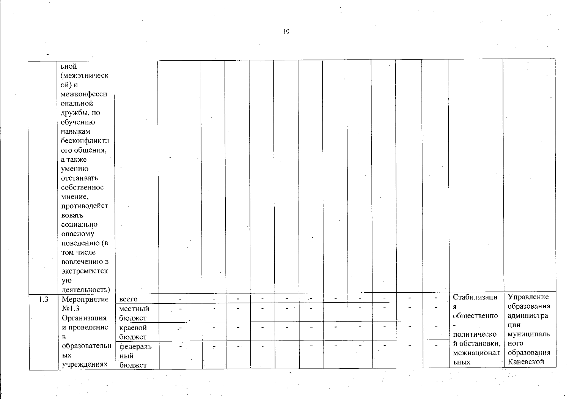|                  | ьной               |          |                |                          |                |                          |                          |                          |                          |                          |                          |                |                   |               |             |
|------------------|--------------------|----------|----------------|--------------------------|----------------|--------------------------|--------------------------|--------------------------|--------------------------|--------------------------|--------------------------|----------------|-------------------|---------------|-------------|
|                  | (межэтническ       |          |                |                          |                |                          |                          |                          |                          |                          |                          |                |                   |               |             |
|                  | ой) и              |          |                |                          |                |                          |                          |                          |                          |                          |                          |                |                   |               |             |
|                  | межконфесси        |          |                |                          |                |                          |                          |                          |                          |                          |                          |                |                   |               |             |
|                  | ональной           |          |                |                          |                |                          |                          |                          |                          |                          |                          |                |                   |               |             |
|                  | дружбы, по         |          |                |                          |                |                          |                          |                          |                          |                          |                          |                |                   |               |             |
|                  | обучению           |          |                |                          |                |                          |                          |                          |                          |                          |                          |                |                   |               |             |
|                  | навыкам            |          |                |                          |                |                          |                          |                          |                          |                          |                          |                |                   |               |             |
|                  | бесконфликтн       |          |                |                          |                |                          |                          |                          |                          |                          |                          |                |                   |               |             |
|                  | ого общения,       |          |                |                          |                |                          |                          |                          |                          |                          |                          |                |                   |               |             |
|                  | а также            |          |                |                          |                |                          |                          |                          |                          |                          |                          |                |                   |               |             |
|                  | умению             |          |                |                          |                |                          |                          |                          |                          |                          |                          |                |                   |               |             |
|                  | отстаивать         |          |                |                          |                |                          |                          |                          |                          |                          |                          |                |                   |               |             |
|                  | собственное        |          |                |                          |                |                          |                          |                          |                          |                          |                          |                |                   |               |             |
|                  | мнение,            |          |                |                          |                |                          |                          |                          |                          |                          |                          |                |                   |               |             |
|                  | противодейст       |          |                |                          |                |                          |                          |                          |                          |                          |                          |                |                   |               |             |
|                  | вовать             |          |                |                          |                |                          |                          |                          |                          |                          |                          |                |                   |               |             |
|                  | социально          |          |                |                          |                |                          |                          |                          |                          |                          |                          |                |                   |               |             |
|                  | опасному           |          |                |                          |                |                          |                          |                          |                          |                          |                          |                |                   |               |             |
|                  | поведению (в       |          |                |                          |                |                          |                          |                          |                          |                          |                          |                |                   |               |             |
|                  | том числе          |          |                |                          |                |                          |                          |                          |                          |                          |                          |                |                   |               |             |
|                  | вовлечению в       |          |                |                          |                |                          |                          |                          |                          |                          |                          |                |                   |               |             |
|                  | экстремистск       |          |                |                          |                |                          |                          |                          |                          |                          |                          |                |                   |               |             |
|                  | ую                 |          |                |                          |                |                          |                          |                          |                          |                          |                          |                |                   |               |             |
|                  | деятельность)      |          |                |                          |                |                          |                          |                          |                          |                          |                          |                |                   |               |             |
| $\overline{1.3}$ | Мероприятие        | всего    | $\blacksquare$ | $\blacksquare$           | $\blacksquare$ | $\omega$                 | $\overline{\phantom{0}}$ | $\epsilon$               | $\overline{\phantom{a}}$ | $\overline{\phantom{a}}$ | $\blacksquare$           | $\overline{a}$ | $\blacksquare$    | Стабилизаци   | Управление  |
|                  | N <sub>2</sub> 1.3 | местный  |                | $\overline{\phantom{a}}$ |                | L.                       | $\overline{\phantom{0}}$ |                          | $\overline{a}$           | $\overline{\phantom{0}}$ | $\overline{\phantom{0}}$ |                | ä,                | Я             | образования |
|                  | Организация        | бюджет   |                |                          |                |                          |                          |                          |                          |                          |                          |                |                   | общественно   | администра  |
|                  | и проведение       | краевой  | $\cdot$        | $\overline{a}$           |                | $\overline{a}$           | $\mathcal{L}^{\pm}$      | $\overline{a}$           | $\overline{\phantom{0}}$ | $\overline{\phantom{a}}$ | $\overline{\phantom{a}}$ | $\overline{a}$ | $\qquad \qquad -$ |               | ЦИИ         |
|                  | $\bf{B}$           | бюджет   |                |                          |                |                          |                          |                          |                          |                          |                          |                |                   | политическо   | муниципаль  |
|                  | образовательн      | федераль |                | $\blacksquare$           | $\overline{a}$ | $\overline{\phantom{0}}$ | $\overline{\phantom{0}}$ | $\overline{\phantom{a}}$ | $\overline{\phantom{a}}$ | $\blacksquare$           |                          |                | $\blacksquare$    | й обстановки, | ного        |
|                  | ЫX                 | ный      |                |                          |                |                          |                          |                          |                          |                          |                          |                |                   | межнационал   | образования |
|                  | учреждениях        | бюджет   |                |                          |                |                          |                          |                          |                          |                          |                          |                |                   | ьных          | Каневской   |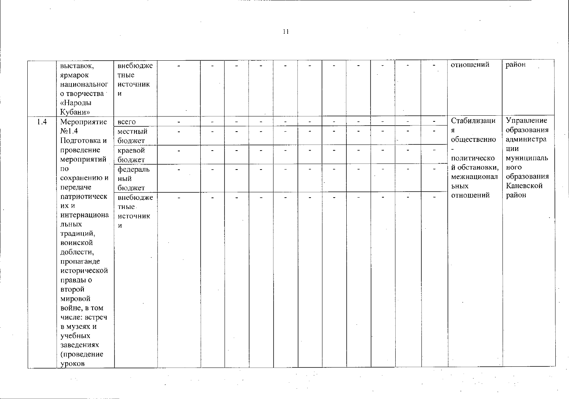$\overline{\phantom{a}}$  $\overline{a}$ 

 $\sim 200$ 

 $\sim$ 

 $\omega = \omega$ 

|     | выставок,          | внебюдже |                |                          |                |                |                          |                |                      |                      |                       |                          |                | отношений     | район       |
|-----|--------------------|----------|----------------|--------------------------|----------------|----------------|--------------------------|----------------|----------------------|----------------------|-----------------------|--------------------------|----------------|---------------|-------------|
|     | ярмарок            | тные     |                |                          |                |                |                          |                |                      |                      |                       |                          |                |               |             |
|     | национальног       | источник |                |                          |                |                |                          |                |                      |                      |                       |                          |                |               |             |
|     | о творчества       | И        |                |                          |                |                |                          |                |                      |                      |                       |                          |                |               |             |
|     | «Народы            |          |                |                          |                |                |                          |                |                      |                      |                       |                          |                |               |             |
|     | Кубани»            |          |                |                          |                |                |                          |                |                      |                      |                       |                          |                |               |             |
| 1.4 | Мероприятие        | всего    | $\blacksquare$ | $\overline{\phantom{a}}$ | $\blacksquare$ | $\overline{a}$ | $\overline{\phantom{a}}$ | $\overline{a}$ | $\ddot{\phantom{1}}$ | $\blacksquare$       | $\blacksquare$        | $\blacksquare$           | $\blacksquare$ | Стабилизаци   | Управление  |
|     | N <sub>0</sub> 1.4 | местный  |                | $\blacksquare$           |                |                |                          |                |                      |                      |                       | $\overline{\phantom{0}}$ | $\blacksquare$ | Я             | образования |
|     | Подготовка и       | бюджет   |                |                          |                |                |                          |                |                      |                      |                       |                          |                | общественно   | администра  |
|     | проведение         | краевой  | $\blacksquare$ | $\blacksquare$           |                | $\blacksquare$ | $\blacksquare$           | $\blacksquare$ | ÷.                   | $\ddot{\phantom{1}}$ | $\tilde{\phantom{a}}$ | $\blacksquare$           | $\overline{a}$ |               | ЦИИ         |
|     | мероприятий        | бюджет   |                |                          |                |                |                          |                |                      |                      |                       |                          |                | политическо   | муниципаль  |
|     | $\overline{10}$    | федераль |                | $\overline{\phantom{0}}$ |                |                |                          |                |                      |                      |                       |                          | $\blacksquare$ | й обстановки, | ного        |
|     | сохранению и       | ный      |                |                          |                |                |                          |                |                      |                      |                       |                          |                | межнационал   | образования |
|     | передаче           | бюджет   |                |                          |                |                |                          |                |                      |                      |                       |                          |                | ьных          | Каневской   |
|     | патриотическ       | внебюдже |                |                          |                |                |                          |                |                      |                      |                       | Ċ,                       | $\overline{a}$ | отношений     | район       |
|     | их и               | тные.    |                |                          |                |                |                          |                |                      |                      |                       |                          |                |               |             |
|     | интернациона       | источник |                |                          |                |                |                          |                |                      |                      |                       |                          |                |               |             |
|     | льных              | И        |                |                          |                |                |                          |                |                      |                      |                       |                          |                |               |             |
|     | традиций,          |          |                |                          |                |                |                          |                |                      |                      |                       |                          |                |               |             |
|     | воинской           |          |                |                          |                |                |                          |                |                      |                      |                       |                          |                |               |             |
|     | доблести,          |          |                |                          |                |                |                          |                |                      |                      |                       |                          |                |               |             |
|     | пропаганде         |          |                |                          |                |                |                          |                |                      |                      |                       |                          |                |               |             |
|     | исторической       |          |                |                          |                |                |                          |                |                      |                      |                       |                          |                |               |             |
|     | правды о           |          |                |                          |                |                |                          |                |                      |                      |                       |                          |                |               |             |
|     | второй             |          |                |                          |                |                |                          |                |                      |                      |                       |                          |                |               |             |
|     | мировой            |          |                |                          |                |                |                          |                |                      |                      |                       |                          |                |               |             |
|     | войне, в том       |          |                |                          |                |                |                          |                |                      |                      |                       |                          |                |               |             |
|     | числе: встреч      |          |                |                          |                |                |                          |                |                      |                      |                       |                          |                |               |             |
|     | в музеях и         |          |                |                          |                |                |                          |                |                      |                      |                       |                          |                |               |             |
|     | учебных            |          |                |                          |                |                |                          |                |                      |                      |                       |                          |                |               |             |
|     | заведениях         |          |                |                          |                |                |                          |                |                      |                      |                       |                          |                |               |             |
|     | (проведение        |          |                |                          |                |                |                          |                |                      |                      |                       |                          |                |               |             |
|     | уроков             |          |                |                          |                |                |                          |                |                      |                      |                       |                          |                |               |             |

 $|11\rangle$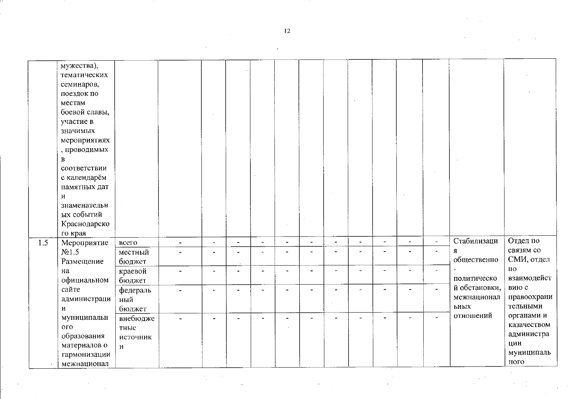|     | мужества),         |              |                          |                          |                |                          |                       |                |                          |                          |                  |                          |                          |               |             |
|-----|--------------------|--------------|--------------------------|--------------------------|----------------|--------------------------|-----------------------|----------------|--------------------------|--------------------------|------------------|--------------------------|--------------------------|---------------|-------------|
|     | тематических       |              |                          |                          |                |                          |                       |                |                          |                          |                  |                          |                          |               |             |
|     | семинаров,         |              |                          |                          |                |                          |                       |                |                          |                          |                  |                          |                          |               |             |
|     | поездок по         |              |                          |                          |                |                          |                       |                |                          |                          |                  |                          |                          |               |             |
|     | местам             |              |                          |                          |                |                          |                       |                |                          |                          |                  |                          |                          |               |             |
|     | боевой славы,      |              |                          |                          |                |                          |                       |                |                          |                          |                  |                          |                          |               |             |
|     | участие в          |              |                          |                          |                |                          |                       |                |                          |                          |                  |                          |                          |               |             |
|     | значимых           |              |                          |                          |                |                          |                       |                |                          |                          |                  |                          |                          |               |             |
|     | мероприятиях       |              |                          |                          |                |                          |                       |                |                          |                          |                  |                          |                          |               |             |
|     | , проводимых       |              |                          |                          |                |                          |                       |                |                          |                          |                  |                          |                          |               |             |
|     | $\, {\bf B} \,$    |              |                          |                          |                |                          |                       |                |                          |                          |                  |                          |                          |               |             |
|     | соответствии       |              |                          |                          |                |                          |                       |                |                          |                          |                  |                          |                          |               |             |
|     | с календарём       |              |                          |                          |                |                          |                       |                |                          |                          |                  |                          |                          |               |             |
|     | памятных дат       |              |                          |                          |                |                          |                       |                |                          |                          |                  |                          |                          |               |             |
|     | И                  |              |                          |                          |                |                          |                       |                |                          |                          |                  |                          |                          |               |             |
|     | знаменательн       |              |                          |                          |                |                          |                       |                |                          |                          |                  |                          |                          |               |             |
|     | ых событий         |              |                          |                          |                |                          |                       |                |                          |                          |                  |                          |                          |               |             |
|     | Краснодарско       |              |                          |                          |                |                          |                       |                |                          |                          |                  |                          |                          |               |             |
|     | го края            |              |                          |                          |                |                          |                       |                |                          |                          |                  |                          |                          |               |             |
| 1.5 | Мероприятие        | всего        | $\overline{\phantom{a}}$ | $\overline{\phantom{a}}$ | $\blacksquare$ | $\overline{\phantom{a}}$ | $\blacksquare$        | $\sim$         | $\overline{\phantom{a}}$ | $\overline{\phantom{a}}$ | $\blacksquare$ : | $\overline{\phantom{a}}$ | $\overline{\phantom{a}}$ | Стабилизаци   | Отдел по    |
|     | N <sub>2</sub> 1.5 | местный      | $\blacksquare$           | $\sim$                   |                | $\sim$                   | $\bullet$             | $\blacksquare$ |                          |                          |                  |                          | $\tilde{\phantom{a}}$    | Я             | связям со   |
|     | Размещение         | бюджет       |                          |                          |                |                          |                       |                |                          |                          |                  |                          |                          | общественно   | СМИ, отдел  |
|     | на                 | краевой      | $\blacksquare$           | $\overline{\phantom{a}}$ | $\blacksquare$ | $\tilde{\phantom{a}}$    | $\tilde{\phantom{a}}$ | $\blacksquare$ | $\mathbf{r}$             |                          | $\rightarrow$    | $\blacksquare$           |                          |               | по          |
|     | официальном        | бюджет       |                          |                          |                |                          |                       |                |                          |                          |                  |                          |                          | политическо   | взаимодейст |
|     | сайте              | федераль     |                          |                          |                |                          |                       |                |                          |                          | $\blacksquare$   |                          | $\blacksquare$           | й обстановки, | вию с       |
|     | администраци       | ный          |                          |                          |                |                          |                       |                |                          |                          |                  |                          |                          | межнационал   | правоохрани |
|     | И                  | бюджет       |                          |                          |                |                          |                       |                |                          |                          |                  |                          |                          | ьных          | тельными    |
|     | муниципальн        | внебюдже     |                          | $\blacksquare$           |                | $\blacksquare$           | $\rightarrow$         | $\sim$         | ٠                        | ÷.                       | $\overline{a}$   |                          |                          | отношений     | органами и  |
|     | ого                | тные         |                          |                          |                |                          |                       |                |                          |                          |                  |                          |                          |               | казачеством |
|     | образования        | источник     |                          |                          |                |                          |                       |                |                          |                          |                  |                          |                          |               | администра  |
|     | материалов о       | $\mathbf{N}$ |                          |                          |                |                          |                       |                |                          |                          |                  |                          |                          |               | ЦИИ         |
|     | гармонизации       |              |                          |                          |                |                          |                       |                |                          |                          |                  |                          |                          |               | муниципаль  |
|     | межнационал        |              |                          |                          |                |                          |                       |                |                          |                          |                  |                          |                          |               | ного        |

 $\mathcal{F}_{\mathcal{F}}$ 

 $\overline{12}$ 

 $\mathcal{L}_{\rm{max}}$ 

 $\sim 10$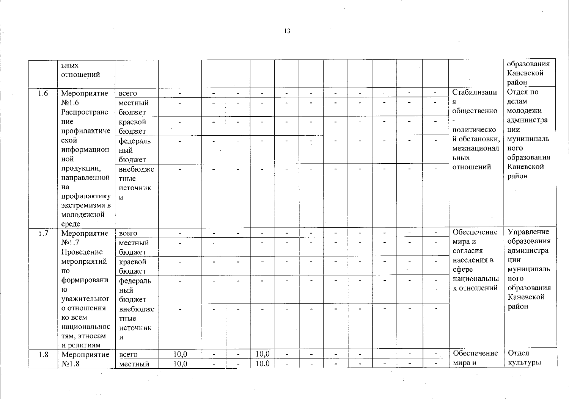|     | <b>ЬНЫХ</b><br>отношений                                                                 |                                              |                          |                          |                          |                          |                          |                          |                          |                          |                          |                       |                                                         |                                      | образования<br>Каневской<br>район |
|-----|------------------------------------------------------------------------------------------|----------------------------------------------|--------------------------|--------------------------|--------------------------|--------------------------|--------------------------|--------------------------|--------------------------|--------------------------|--------------------------|-----------------------|---------------------------------------------------------|--------------------------------------|-----------------------------------|
| 1.6 | Мероприятие                                                                              | всего                                        | $\blacksquare$           | $\blacksquare$           | $\overline{a}$           | $\blacksquare$           | $\overline{\phantom{a}}$ | $\mathbb{L}$             | $\blacksquare$           | $\blacksquare$           | $\overline{\phantom{m}}$ | $\blacksquare$        | $\blacksquare$                                          | Стабилизаци                          | Отдел по                          |
|     | N <sub>2</sub> 1.6<br>Распростране                                                       | местный<br>бюджет                            | $\overline{a}$           | $\overline{\phantom{a}}$ |                          |                          | $\sim$                   | $\overline{a}$           |                          | $\overline{a}$           |                          |                       | $\blacksquare$                                          | Я<br>общественно                     | делам<br>молодежи                 |
|     | ние<br>профилактиче                                                                      | краевой<br>бюджет                            | $\overline{a}$           | $\blacksquare$           |                          |                          |                          |                          |                          |                          |                          | $\blacksquare$        |                                                         | политическо                          | администра<br>ЦИИ                 |
|     | ской<br>информацион<br>ной                                                               | федераль<br>ный<br>бюджет                    | L.                       | ÷                        |                          | ä,                       |                          | $\qquad \qquad$          |                          |                          | $\sim$                   |                       | $\overline{a}$                                          | й обстановки,<br>межнационал<br>ьных | муниципаль<br>ного<br>образования |
|     | продукции,<br>направленной<br>на<br>профилактику<br>экстремизма в<br>молодежной<br>среде | внебюдже<br>тные<br>источник<br>$\mathbf{M}$ |                          |                          |                          |                          |                          |                          |                          |                          |                          |                       |                                                         | отношений<br>Обеспечение             | Каневской<br>район                |
| 1.7 | Мероприятие                                                                              | всего                                        | $\bullet$                | $\blacksquare$           | $\blacksquare$           | $\blacksquare$           | $\blacksquare$           | $\blacksquare$           | $\overline{a}$           | $\omega$                 | $\ddot{\phantom{a}}$     | $\mathbf{r}$          | $\blacksquare$                                          |                                      | Управление                        |
|     | N <sub>2</sub> 1.7<br>Проведение                                                         | местный<br>бюджет                            |                          |                          |                          |                          |                          | $\overline{a}$           |                          |                          |                          |                       | $\overline{\phantom{a}}$                                | мира и<br>согласия                   | образования<br>администра         |
|     | мероприятий<br>ПО                                                                        | краевой<br>бюджет                            | $\overline{\phantom{a}}$ | $\blacksquare$           | $\overline{\phantom{0}}$ | $\overline{\phantom{0}}$ | L,                       | $\overline{\phantom{a}}$ | $\overline{a}$           | $\overline{\phantom{a}}$ | $\blacksquare$           | $\tilde{\phantom{a}}$ |                                                         | населения в<br>$c$ $depe$            | ЦИИ<br>муниципаль                 |
|     | формировани<br>ю<br>уважительног                                                         | федераль<br>ный<br>бюджет                    | $\overline{a}$           | $\overline{\phantom{0}}$ |                          |                          |                          |                          |                          |                          |                          | $\overline{a}$        | $\overline{\phantom{0}}$<br>$\mathcal{L}^{\mathcal{L}}$ | национальны<br>х отношений           | ного<br>образования<br>Каневской  |
|     | о отношения<br>ко всем<br>национальнос<br>тям, этносам<br>и религиям                     | внебюдже<br>тные<br>источник<br>И            |                          |                          |                          |                          |                          |                          |                          |                          |                          |                       |                                                         |                                      | район                             |
| 1.8 | Мероприятие                                                                              | всего                                        | 10,0                     | $\blacksquare$           | $\tilde{\phantom{a}}$    | 10,0                     | $\blacksquare$           | $\blacksquare$           | $\blacksquare$           | $\blacksquare$           | $\overline{\phantom{a}}$ | $\blacksquare$        | $\sim$                                                  | Обеспечение                          | Отдел                             |
|     | N <sub>2</sub> 1.8                                                                       | местный                                      | 10,0                     | $\overline{\phantom{0}}$ | $\blacksquare$           | 10,0                     | $\blacksquare$           | $\overline{\phantom{a}}$ | $\overline{\phantom{0}}$ |                          |                          |                       | $\overline{a}$                                          | мира и                               | культуры                          |
|     |                                                                                          |                                              |                          |                          |                          |                          |                          |                          |                          |                          |                          |                       |                                                         |                                      |                                   |

 $13$ 

 $\sim$ 

 $\sim$ 

 $\sim$ 

 $\Delta \sim 1$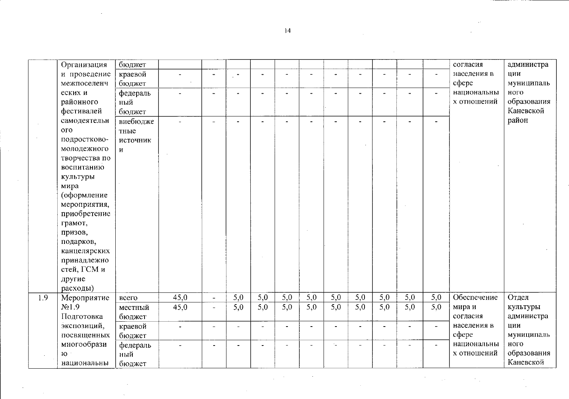|    | Организация        | бюджет   |      |                          |                |                          |                  |                |                  |     |                          |                          |                          | согласия    | администра  |
|----|--------------------|----------|------|--------------------------|----------------|--------------------------|------------------|----------------|------------------|-----|--------------------------|--------------------------|--------------------------|-------------|-------------|
|    | и проведение       | краевой  |      | $\blacksquare$           | $\blacksquare$ | L.                       | $\overline{a}$   | $\blacksquare$ | $\overline{a}$   |     | $\overline{\phantom{a}}$ | $\overline{a}$           |                          | населения в | ции         |
|    | межпоселенч        | бюджет   |      |                          |                |                          |                  |                |                  |     |                          |                          |                          | coepe       | муниципаль  |
|    | еских и            | федераль |      |                          |                |                          |                  |                |                  |     |                          |                          | $\overline{\phantom{0}}$ | национальны | ного        |
|    | районного          | ный      |      |                          |                |                          |                  |                |                  |     |                          |                          |                          | х отношений | образования |
|    | фестивалей         | бюджет   |      |                          |                |                          |                  |                |                  |     |                          |                          |                          |             | Каневской   |
|    | самодеятельн       | внебюдже |      |                          |                |                          |                  |                |                  |     |                          | $\overline{\phantom{0}}$ |                          |             | район       |
|    | ого                | тные     |      |                          |                |                          |                  |                |                  |     |                          |                          |                          |             |             |
|    | подростково-       | источник |      |                          |                |                          |                  |                |                  |     |                          |                          |                          |             |             |
|    | молодежного        | И        |      |                          |                |                          |                  |                |                  |     |                          |                          |                          |             |             |
|    | творчества по      |          |      |                          |                |                          |                  |                |                  |     |                          |                          |                          |             |             |
|    | воспитанию         |          |      |                          |                |                          |                  |                |                  |     |                          |                          |                          |             |             |
|    | культуры           |          |      |                          |                |                          |                  |                |                  |     |                          |                          |                          |             |             |
|    | мира               |          |      |                          |                |                          |                  |                |                  |     |                          |                          |                          |             |             |
|    | (оформление        |          |      |                          |                |                          |                  |                |                  |     |                          |                          |                          |             |             |
|    | мероприятия,       |          |      |                          |                |                          |                  |                |                  |     |                          |                          |                          |             |             |
|    | приобретение       |          |      |                          |                |                          |                  |                |                  |     |                          |                          |                          |             |             |
|    | грамот,            |          |      |                          |                |                          |                  |                |                  |     |                          |                          |                          |             |             |
|    | призов,            |          |      |                          |                |                          |                  |                |                  |     |                          |                          |                          |             |             |
|    | подарков,          |          |      |                          |                |                          |                  |                |                  |     |                          |                          |                          |             |             |
|    | канцелярских       |          |      |                          |                |                          |                  |                |                  |     |                          |                          |                          |             |             |
|    | принадлежно        |          |      |                          |                |                          |                  |                |                  |     |                          |                          |                          |             |             |
|    | стей, ГСМ и        |          |      |                          |                |                          |                  |                |                  |     |                          |                          |                          |             |             |
|    | другие             |          |      |                          |                |                          |                  |                |                  |     |                          |                          |                          |             |             |
|    | расходы)           |          |      |                          |                |                          |                  |                |                  |     |                          |                          |                          |             |             |
| 19 | Мероприятие        | всего    | 45,0 | $\equiv$                 | 5,0            | 5,0                      | 5,0              | 5,0            | 5,0              | 5,0 | 5,0                      | 5,0                      | 5,0                      | Обеспечение | Отдел       |
|    | N <sub>2</sub> 1.9 | местный  | 45,0 | $\blacksquare$           | 5,0            | 5,0                      | $\overline{5,0}$ | 5,0            | $\overline{5,0}$ | 5,0 | $\overline{5,0}$         | 5,0                      | 5,0                      | мира и      | культуры    |
|    | Подготовка         | бюджет   |      |                          |                |                          |                  |                |                  |     |                          |                          |                          | согласия    | администра  |
|    | экспозиций,        | краевой  |      | $\equiv$                 |                | $\overline{\phantom{0}}$ | ÷                |                |                  |     | $\blacksquare$           | $\tilde{\phantom{a}}$    | $\overline{a}$           | населения в | ции         |
|    | посвященных        | бюджет   |      |                          |                |                          |                  |                |                  |     |                          |                          |                          | сфере       | муниципаль  |
|    | многообрази        | федераль |      | $\overline{\phantom{0}}$ | $\overline{a}$ |                          | $\overline{a}$   |                | $\sim$           |     | $\overline{a}$           | ÷                        |                          | национальны | ного        |
|    | ю                  | ный      |      |                          |                |                          |                  |                |                  |     |                          |                          |                          | х отношений | образования |
|    | национальны        | бюджет   |      |                          |                |                          |                  |                |                  |     |                          |                          |                          |             | Каневской   |

 $\mathcal{L}_{\mathbf{p}}$  and  $\mathcal{L}_{\mathbf{p}}$  are the set of the set of  $\mathcal{L}_{\mathbf{p}}$ 

 $\sim$ 

 $\sim$ 

 $|4|$ 

 $\sim$ 

 $\sim 10$ 

 $\sim 10^{-1}$  $\mathcal{F}_{\text{max}}$  $\sim 10^7$ 

 $\sim$   $\sim$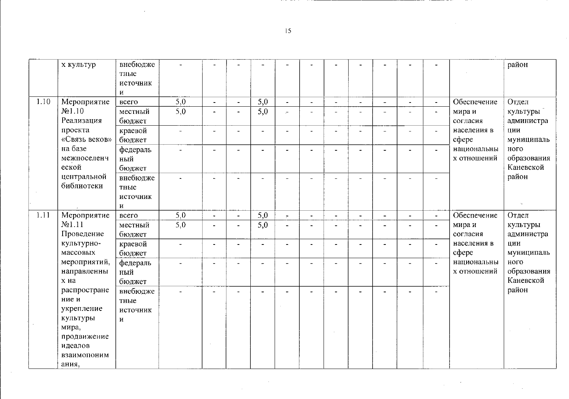|      | х культур           | внебюдже     |                          |                          |                  |                         |                          |                |                          |                          |                      |                |             | район       |
|------|---------------------|--------------|--------------------------|--------------------------|------------------|-------------------------|--------------------------|----------------|--------------------------|--------------------------|----------------------|----------------|-------------|-------------|
|      |                     | тные         |                          |                          |                  |                         |                          |                |                          |                          |                      |                |             |             |
|      |                     | источник     |                          |                          |                  |                         |                          |                |                          |                          |                      |                |             |             |
|      |                     | И            |                          |                          |                  |                         |                          |                |                          |                          |                      |                |             |             |
| 1.10 | Мероприятие         | <b>BCCLO</b> | 5,0                      | $\overline{\phantom{a}}$ | 5,0              | $\blacksquare$          | $\overline{\phantom{a}}$ | $\overline{a}$ | $\overline{a}$           | $\overline{\phantom{a}}$ | $\blacksquare$       | $\blacksquare$ | Обеспечение | Отдел       |
|      | N <sub>2</sub> 1.10 | местный      | 5,0                      | $\overline{\phantom{0}}$ | $\overline{5,0}$ | $\overline{r}$          | $\overline{a}$           |                |                          |                          | $\overline{a}$       | $\sim$         | мира и      | культуры    |
|      | Реализация          | бюджет       |                          |                          |                  |                         |                          |                |                          |                          |                      |                | согласия    | администра  |
|      | проекта             | краевой      | $\overline{\phantom{a}}$ | $\ddot{\phantom{0}}$     |                  |                         | $\blacksquare$           | $\blacksquare$ | $\blacksquare$           |                          | $\blacksquare$       | $\blacksquare$ | населения в | ЦИИ         |
|      | «Связь веков»       | бюджет       |                          |                          |                  |                         |                          |                |                          |                          |                      |                | сфере       | муниципаль  |
|      | на базе             | федераль     |                          | $\sim$                   |                  |                         | $\overline{a}$           |                |                          |                          |                      | $\blacksquare$ | национальны | ного        |
|      | межпоселенч         | ный          |                          |                          |                  |                         |                          |                |                          |                          |                      |                | х отношений | образования |
|      | еской               | бюджет       |                          |                          |                  |                         |                          |                |                          |                          |                      |                |             | Каневской   |
|      | центральной         | внебюдже     |                          | ÷                        |                  |                         |                          |                |                          |                          |                      | ÷,             |             | район       |
|      | библиотеки          | тные         |                          |                          |                  |                         |                          |                |                          |                          |                      |                |             |             |
|      |                     | источник     |                          |                          |                  |                         |                          |                |                          |                          |                      |                |             |             |
|      |                     | и            |                          |                          |                  |                         |                          |                |                          |                          |                      |                |             |             |
| 1.11 |                     |              |                          |                          |                  |                         |                          |                |                          |                          |                      |                | Обеспечение |             |
|      | Мероприятие         | всего        | 5,0                      | $\blacksquare$           | 5,0              | $\overline{\mathbb{R}}$ | $\overline{a}$           |                | $\blacksquare$           | $\blacksquare$           | ä,                   | $\blacksquare$ |             | Отдел       |
|      | N <sub>0</sub> 1.11 | местный      | 5,0                      | $\blacksquare$           | 5,0              |                         | $\blacksquare$           |                |                          |                          | $\blacksquare$       | $\blacksquare$ | мира и      | культуры    |
|      | Проведение          | бюджет       |                          |                          |                  |                         |                          |                |                          |                          |                      |                | согласия    | администра  |
|      | культурно-          | краевой      |                          | $\blacksquare$           |                  |                         | $\overline{\phantom{0}}$ |                |                          |                          | $\blacksquare$       | $\blacksquare$ | населения в | ЦИИ         |
|      | массовых            | бюджет       |                          |                          |                  |                         |                          |                |                          |                          |                      |                | сфере       | муниципаль  |
|      | мероприятий,        | федераль     |                          | $\hat{\phantom{a}}$      | $\blacksquare$   | $\equiv$                | $\overline{a}$           |                | $\overline{a}$           |                          | $\overline{a}$       | ш.             | национальны | ного        |
|      | направленны         | ный          |                          |                          |                  |                         |                          |                |                          |                          |                      |                | х отношений | образования |
|      | х на                | бюджет       |                          |                          |                  |                         |                          |                |                          |                          |                      |                |             | Каневской   |
|      | распростране        | внебюдже     |                          | $\overline{\phantom{a}}$ |                  |                         | $\overline{\phantom{a}}$ |                | $\overline{\phantom{0}}$ |                          | $\ddot{\phantom{0}}$ | $\overline{a}$ |             | район       |
|      | ние и               | тные         |                          |                          |                  |                         |                          |                |                          |                          |                      |                |             |             |
|      | укрепление          | источник     |                          |                          |                  |                         |                          |                |                          |                          |                      |                |             |             |
|      | культуры            | $\mathbf{M}$ |                          |                          |                  |                         |                          |                |                          |                          |                      |                |             |             |
|      | мира,               |              |                          |                          |                  |                         |                          |                |                          |                          |                      |                |             |             |
|      | продвижение         |              |                          |                          |                  |                         |                          |                |                          |                          |                      |                |             |             |
|      | идеалов             |              |                          |                          |                  |                         |                          |                |                          |                          |                      |                |             |             |
|      | взаимопоним         |              |                          |                          |                  |                         |                          |                |                          |                          |                      |                |             |             |
|      | ания.               |              |                          |                          |                  |                         |                          |                |                          |                          |                      |                |             |             |
|      |                     |              |                          |                          |                  |                         |                          |                |                          |                          |                      |                |             |             |

 $\sim$   $\sim$ 

 $\sim$ 

 $\langle \cdot \rangle$ 

 $\sim 10^{-1}$ 

 $\sim 10^{-1}$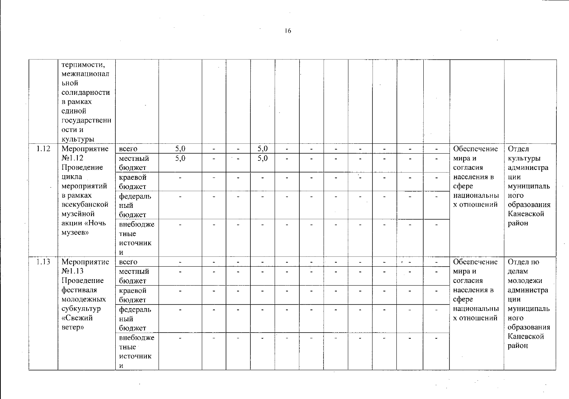|      | терпимости,<br>межнационал<br>ьной<br>солидарности<br>в рамках<br>единой<br>государственн<br>ости и<br>культуры |                                      |                          |                       |                          |                |                |                          |                |                              |                          |                          |                      |                            |                                   |
|------|-----------------------------------------------------------------------------------------------------------------|--------------------------------------|--------------------------|-----------------------|--------------------------|----------------|----------------|--------------------------|----------------|------------------------------|--------------------------|--------------------------|----------------------|----------------------------|-----------------------------------|
| 1.12 | Мероприятие                                                                                                     | всего                                | 5,0                      | $\blacksquare$        | $\overline{\phantom{a}}$ | 5,0            | $\blacksquare$ | $\overline{\phantom{a}}$ | $\blacksquare$ | $\qquad \qquad \blacksquare$ | $\blacksquare$           | $\blacksquare$           | $\blacksquare$       | Обеспечение                | Отдел                             |
|      | $N_2$ 1.12<br>Проведение                                                                                        | местный<br>бюджет                    | 5,0                      | $\sim$                |                          | 5,0            |                |                          |                |                              |                          |                          | $\ddot{\phantom{a}}$ | мира и<br>согласия         | культуры<br>администра            |
|      | цикла<br>мероприятий                                                                                            | краевой<br>бюджет                    | $\frac{1}{2}$            | $\sim$                |                          |                |                | $\sim$                   |                | $\mathbb{Z}$                 |                          | $\blacksquare$           | $\blacksquare$       | населения в<br>cфере       | ЦИИ<br>муниципаль                 |
|      | в рамках<br>всекубанской<br>музейной                                                                            | федераль<br>ный<br>бюджет            | $\ddot{\phantom{1}}$     | $\blacksquare$        |                          |                |                |                          |                |                              |                          | $\blacksquare$           | $\blacksquare$       | национальны<br>х отношений | ного<br>образования<br>Каневской  |
|      | акции «Ночь<br>музеев»                                                                                          | внебюдже<br>тные<br>источник<br>И    |                          |                       |                          |                |                |                          |                |                              |                          | $\overline{a}$           |                      |                            | район                             |
| 1.13 | Мероприятие                                                                                                     | всего                                | $\overline{\phantom{a}}$ | $\tilde{\phantom{a}}$ | $\blacksquare$           | $\blacksquare$ | $\blacksquare$ | $\blacksquare$           | $\blacksquare$ | $\overline{\phantom{a}}$     | $\blacksquare$           | $z=-\frac{1}{2}$         | $\equiv$             | Обеспечение                | Отдел по                          |
|      | $N_21.13$<br>Проведение                                                                                         | местный<br>бюджет                    | $\overline{\phantom{0}}$ | $\overline{a}$        |                          |                |                |                          |                |                              | $\overline{\phantom{a}}$ | $\blacksquare$           | $\blacksquare$       | мира и<br>согласия         | делам<br>молодежи                 |
|      | фестиваля<br>молодежных                                                                                         | краевой<br>бюджет                    | $\blacksquare$           | $\blacksquare$        |                          | $\blacksquare$ |                | $\blacksquare$           |                | $\blacksquare$               | $\blacksquare$           | $\overline{\phantom{a}}$ | $\blacksquare$       | населения в<br>$c$ depe    | администра<br>ции                 |
|      | субкультур<br>«Свежий<br>ветер»                                                                                 | федераль<br>ный<br>бюджет            |                          |                       |                          |                |                |                          |                |                              |                          |                          | $\blacksquare$       | национальны<br>х отношений | муниципаль<br>ного<br>образования |
|      |                                                                                                                 | внебюдже<br>тные<br>источник<br>T.E. |                          |                       |                          |                |                | $\blacksquare$           |                |                              |                          |                          |                      |                            | Каневской<br>район                |

 $\sim$   $\sim$ 

 $\sim$ 

 $\sim$ 

 $\sim$ 

n.

 $\sim 100$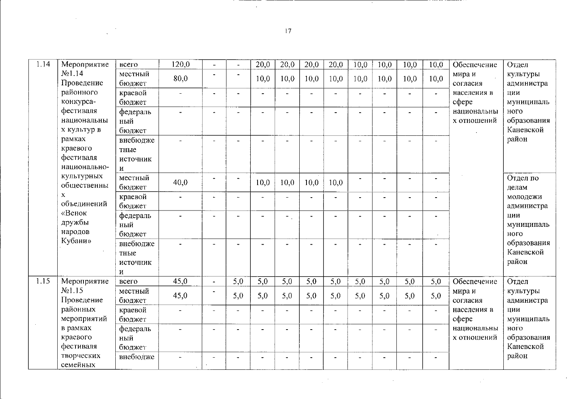$17<sup>°</sup>$ 

| N <sub>2</sub> 1.14<br>местный<br>мира и<br>$\blacksquare$<br>$\blacksquare$<br>80,0<br>10,0<br>10,0<br>10,0<br>10,0<br>10,0<br>10,0<br>10,0<br>10,0<br>Проведение<br>бюджет<br>согласия         | культуры<br>администра<br>ЦИИ |
|--------------------------------------------------------------------------------------------------------------------------------------------------------------------------------------------------|-------------------------------|
|                                                                                                                                                                                                  |                               |
| районного<br>краевой<br>населения в<br>$\overline{\phantom{0}}$<br>$\overline{\phantom{a}}$<br>$\overline{\phantom{0}}$<br>$\overline{\phantom{0}}$<br>$\sim$<br>$\overline{\phantom{a}}$        |                               |
| конкурса-<br>$c$ $\phi$ epe<br>бюджет                                                                                                                                                            | муниципаль                    |
| фестиваля<br>национальны<br>федераль<br>$\blacksquare$                                                                                                                                           | ного                          |
| национальны<br>ный<br>х отношений                                                                                                                                                                | образования                   |
| х культур в<br>бюджет                                                                                                                                                                            | Каневской                     |
| рамках<br>внебюдже                                                                                                                                                                               | район                         |
| краевого<br>тные                                                                                                                                                                                 |                               |
| фестиваля<br>источник<br>национально-                                                                                                                                                            |                               |
| $\mathbf{H}$<br>культурных                                                                                                                                                                       |                               |
| местный<br>$\blacksquare$<br>$\overline{\phantom{a}}$<br>$\overline{\phantom{a}}$<br>$\overline{\phantom{a}}$<br>$\overline{\phantom{0}}$<br>40,0<br>10,0<br>10,0<br>10,0<br>10,0<br>общественны | Отдел по                      |
| бюджет<br>$\mathbf X$<br>краевой<br>$\blacksquare$<br>$\overline{\phantom{a}}$<br>$\blacksquare$                                                                                                 | делам<br>молодежи             |
| $\overline{\phantom{a}}$<br>$\overline{\phantom{0}}$<br>$\blacksquare$<br>$\ddot{\phantom{1}}$<br>$\overline{\phantom{a}}$<br>объединений<br>бюджет                                              | администра                    |
| «Венок<br>федераль                                                                                                                                                                               | ПИИ                           |
| дружбы<br>ный                                                                                                                                                                                    | муниципаль                    |
| народов<br>бюджет<br>$\bullet$                                                                                                                                                                   | ного                          |
| Кубани»<br>внебюдже                                                                                                                                                                              | образования                   |
| тные                                                                                                                                                                                             | Каневской                     |
| источник                                                                                                                                                                                         | район                         |
| $\mathbf{H}$                                                                                                                                                                                     |                               |
| 1.15<br>45,0<br>5,0<br>5,0<br>5,0<br>5,0<br>5,0<br>5,0<br>5,0<br>Мероприятие<br>5,0<br>5,0<br>Обеспечение<br>всего<br>$\blacksquare$                                                             | Отдел                         |
| N <sub>2</sub> 1.15<br>местный<br>мира и<br>$\overline{\phantom{0}}$<br>5,0<br>5,0<br>5,0<br>45,0<br>5,0<br>5,0<br>5,0<br>5,0<br>5,0<br>5,0                                                      | культуры                      |
| Проведение<br>бюджет<br>согласия                                                                                                                                                                 | администра                    |
| районных<br>краевой<br>населения в<br>$\blacksquare$<br>$\overline{\phantom{a}}$<br>۰.<br>$\overline{\phantom{0}}$<br>$\overline{\phantom{a}}$                                                   | ЦИИ                           |
| мероприятий<br>бюджет<br>$c$ $q$ $q$ $q$ $q$ $q$                                                                                                                                                 | муниципаль                    |
| в рамках<br>национальны<br>федераль<br>$\equiv$                                                                                                                                                  | ного                          |
| краевого<br>ный<br>х отношений<br>фестиваля                                                                                                                                                      | образования<br>Каневской      |
| бюджет<br>творческих<br>внебюдже                                                                                                                                                                 | район                         |
| $\overline{\phantom{0}}$<br>семейных                                                                                                                                                             |                               |

 $\label{eq:2.1} \frac{1}{2}\sum_{i=1}^n\sum_{j=1}^n\left(\frac{1}{2}\sum_{j=1}^n\sum_{j=1}^n\frac{1}{2}\sum_{j=1}^n\frac{1}{2}\sum_{j=1}^n\frac{1}{2}\sum_{j=1}^n\frac{1}{2}\sum_{j=1}^n\frac{1}{2}\sum_{j=1}^n\frac{1}{2}\sum_{j=1}^n\frac{1}{2}\sum_{j=1}^n\frac{1}{2}\sum_{j=1}^n\frac{1}{2}\sum_{j=1}^n\frac{1}{2}\sum_{j=1}^n\frac{1}{2}\sum_{j=$ 

 $\mathcal{L}_{\mathrm{L}}$  to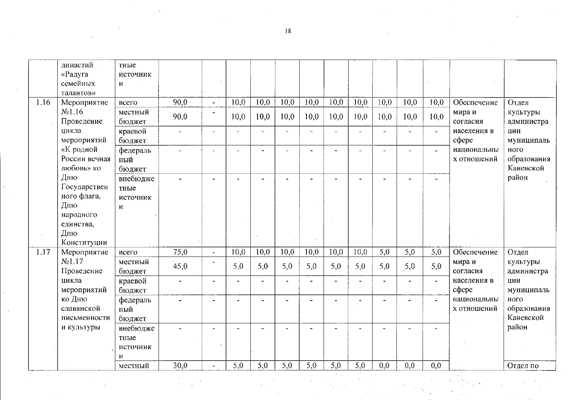|      | династий                                 | тные                         |                              |                          |      |      |      |                          |      |      |                                 |                          |                          |                            |                                  |
|------|------------------------------------------|------------------------------|------------------------------|--------------------------|------|------|------|--------------------------|------|------|---------------------------------|--------------------------|--------------------------|----------------------------|----------------------------------|
|      | «Радуга                                  | источник                     |                              |                          |      |      |      |                          |      |      |                                 |                          |                          |                            |                                  |
|      | семейных                                 | и                            |                              |                          |      |      |      |                          |      |      |                                 |                          |                          |                            |                                  |
|      | талантов»                                |                              |                              |                          |      |      |      |                          |      |      |                                 |                          |                          |                            |                                  |
| 1.16 | Мероприятие                              | всего                        | 90,0                         | $\overline{\phantom{a}}$ | 10,0 | 10,0 | 10,0 | 10,0                     | 10,0 | 10,0 | 10,0                            | 10,0                     | 10,0                     | Обеспечение                | Отдел                            |
|      | $N_21.16$<br>Проведение                  | местный<br>бюджет            | 90,0                         | $\blacksquare$           | 10,0 | 10,0 | 10,0 | 10,0                     | 10,0 | 10,0 | 10,0                            | 10,0                     | 10,0                     | мира и<br>согласия         | культуры<br>администра           |
|      | цикла<br>мероприятий                     | краевой<br>бюджет            |                              | L,                       |      |      |      | $\overline{\phantom{0}}$ |      |      |                                 |                          | $\tilde{\phantom{a}}$    | населения в<br>$c$ depe    | ЦИИ<br>муниципаль                |
|      | «К родной<br>России вечная<br>любовь» ко | федераль<br>ный<br>бюджет    | $\overline{\phantom{0}}$     | $\overline{a}$           |      |      |      |                          |      |      | $\frac{1}{2}$ and $\frac{1}{2}$ |                          | $\overline{\phantom{0}}$ | национальны<br>х отношений | ного<br>образования<br>Каневской |
|      | Дню<br>Государствен<br>ного флага,       | внебюдже<br>тные<br>источник | $\blacksquare$               |                          |      |      |      | $\overline{\phantom{0}}$ |      |      |                                 | ż                        | $\overline{\phantom{a}}$ |                            | район                            |
|      | Дню<br>народного                         | И                            |                              |                          |      |      |      |                          |      |      |                                 |                          |                          |                            |                                  |
|      | единства,<br>Дню<br>Конституции          |                              |                              |                          |      |      |      |                          |      |      |                                 |                          |                          |                            |                                  |
| 1.17 | Мероприятие                              | всего                        | 75,0                         | $\bullet$                | 10,0 | 10,0 | 10,0 | 10,0                     | 10,0 | 10,0 | 5,0                             | 5,0                      | 5,0                      | Обеспечение                | Отдел                            |
|      | N <sub>2</sub> 1.17<br>Проведение        | местный<br>бюджет            | 45,0                         | $\overline{\phantom{a}}$ | 5,0  | 5,0  | 5,0  | 5,0                      | 5,0  | 5,0  | 5,0                             | 5,0                      | 5,0                      | мира и<br>согласия         | культуры<br>администра           |
|      | цикла<br>мероприятий                     | краевой<br>бюджет            | $\qquad \qquad \blacksquare$ | $\blacksquare$           |      |      |      | $\overline{\phantom{0}}$ |      |      |                                 |                          | $\blacksquare$           | населения в<br>$c$ $depe$  | ЦИИ<br>муниципаль                |
|      | ко Дню<br>славянской<br>письменности     | федераль<br>ный<br>бюджет    |                              |                          |      |      |      |                          |      |      |                                 |                          | $\blacksquare$           | национальны<br>х отношений | ного<br>образования<br>Каневской |
|      | и культуры                               | внебюдже                     | $\overline{a}$               | $\overline{\phantom{a}}$ |      |      |      | $\blacksquare$           |      |      |                                 | $\overline{\phantom{a}}$ |                          |                            | район                            |
|      |                                          | тные<br>источник<br>И        |                              |                          |      |      |      |                          |      |      |                                 |                          |                          |                            |                                  |
|      |                                          | местный                      | 30,0                         | $\ddot{\phantom{1}}$     | 5.0  | 5.0  | 5.0  | 5.0                      | 5.0  | 5,0  | 0,0                             | 0.0                      | 0,0                      |                            | Отдел по                         |

 $\sim$ 

 $18$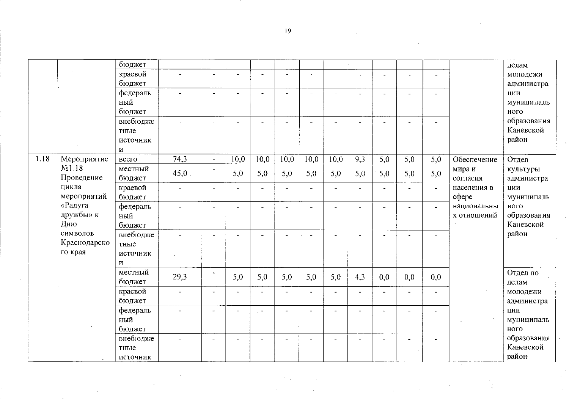|      |                                     | бюджет<br>краевой<br>бюджет<br>федераль<br>ный<br>бюджет<br>внебюдже<br>тные<br>источник<br>И | $\blacksquare$<br>$\rightarrow$ | $\overline{a}$<br>$\rightarrow$<br>$\ddot{\phantom{1}}$ | $\overline{\phantom{a}}$ |                              | $\blacksquare$<br>z.         | ۰.<br>$\overline{\phantom{0}}$<br>$\equiv$ |                          |     | $\blacksquare$           |                          |                          |                            | делам<br>молодежи<br>администра<br>ЦИИ<br>муниципаль<br>ного<br>образования<br>Каневской<br>район |
|------|-------------------------------------|-----------------------------------------------------------------------------------------------|---------------------------------|---------------------------------------------------------|--------------------------|------------------------------|------------------------------|--------------------------------------------|--------------------------|-----|--------------------------|--------------------------|--------------------------|----------------------------|---------------------------------------------------------------------------------------------------|
| 1.18 | Мероприятие<br>N <sub>2</sub> 1.18  | всего                                                                                         | 74,3                            | $\bullet$                                               | 10,0                     | 10,0                         | 10,0                         | 10,0                                       | 10,0                     | 9,3 | 5,0                      | 5,0                      | 5,0                      | Обеспечение                | Отдел                                                                                             |
|      | Проведение                          | местный<br>бюджет                                                                             | 45,0                            | $\overline{\phantom{a}}$                                | 5,0                      | 5,0                          | 5,0                          | 5,0                                        | 5,0                      | 5,0 | 5,0                      | 5,0                      | 5,0                      | мира и<br>согласия         | культуры<br>администра                                                                            |
|      | цикла<br>мероприятий                | краевой<br>бюджет                                                                             | $\overline{a}$                  | $\overline{\phantom{a}}$                                |                          |                              | $\qquad \qquad \blacksquare$ | -                                          |                          |     | $\ddot{\phantom{0}}$     | $\overline{\phantom{0}}$ | $\blacksquare$           | населения в<br>сфере       | ции<br>муниципаль                                                                                 |
|      | «Радуга<br>дружбы» к<br>Дню         | федераль<br>ный<br>бюджет                                                                     | $\mathbf{u}_\mathrm{c}$         | $\overline{a}$                                          | $\blacksquare$           | $\blacksquare$               | $\overline{\phantom{0}}$     | $\blacksquare$                             |                          |     | $\overline{\phantom{0}}$ | $\overline{\phantom{a}}$ | $\overline{a}$           | национальны<br>х отношений | ного<br>образования<br>Каневской                                                                  |
|      | символов<br>Краснодарско<br>го края | внебюдже<br>тные<br>источник<br>и                                                             | $\overline{a}$                  | $\ddot{\phantom{0}}$                                    |                          | $\overline{\phantom{0}}$     | $\overline{a}$               |                                            |                          |     |                          |                          | $\overline{\phantom{0}}$ |                            | район                                                                                             |
|      |                                     | местный<br>бюджет                                                                             | 29,3                            | $\tilde{\phantom{a}}$                                   | 5,0                      | 5,0                          | 5,0                          | 5,0                                        | 5,0                      | 4,3 | 0,0                      | 0,0                      | 0.0                      |                            | Отдел по<br>делам                                                                                 |
|      |                                     | краевой<br>бюджет                                                                             | $\blacksquare$                  | $\blacksquare$                                          | $\hat{\phantom{a}}$      | $\overline{\phantom{0}}$     | $\overline{\phantom{a}}$     | $\overline{\phantom{a}}$                   | $\overline{\phantom{0}}$ |     | $\overline{\phantom{0}}$ |                          | $\blacksquare$           |                            | молодежи<br>администра                                                                            |
|      |                                     | федераль<br>ный<br>бюджет                                                                     | $\blacksquare$                  | $\overline{\phantom{a}}$                                | $\overline{\phantom{0}}$ | $\mathbb{Z}^{(\frac{1}{2})}$ | $\overline{\phantom{0}}$     |                                            |                          |     | $\blacksquare$           |                          |                          |                            | ЦИИ<br>муниципаль<br>ного                                                                         |
|      |                                     | внебюдже<br>тные<br>источник                                                                  |                                 | $\overline{\phantom{a}}$                                |                          |                              | $\overline{a}$               |                                            |                          |     | $\overline{\phantom{a}}$ |                          |                          |                            | образования<br>Каневской<br>район                                                                 |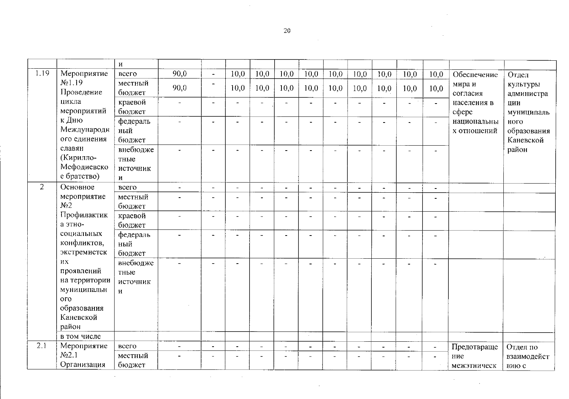$\bar{z}$ 

 $\mathcal{L}$ 

 $\label{eq:2.1} \frac{1}{\sqrt{2}}\left(\frac{1}{\sqrt{2}}\right)^{2} \left(\frac{1}{\sqrt{2}}\right)^{2} \left(\frac{1}{\sqrt{2}}\right)^{2} \left(\frac{1}{\sqrt{2}}\right)^{2}$ 

 $\mathcal{L}$ 

 $\hat{\mathcal{A}}$ 

|                |                  | И            |                          |                          |          |                          |                          |                          |                          |                          |                       |                          |                          |             |             |
|----------------|------------------|--------------|--------------------------|--------------------------|----------|--------------------------|--------------------------|--------------------------|--------------------------|--------------------------|-----------------------|--------------------------|--------------------------|-------------|-------------|
| 1.19           | Мероприятие      | всего        | 90,0                     | $\hat{\phantom{a}}$      | 10,0     | 10,0                     | 10,0                     | 10,0                     | 10,0                     | 10,0                     | 10,0                  | 10,0                     | 10,0                     | Обеспечение | Отдел       |
|                | $N_2$ 19         | местный      | 90,0                     | $\tilde{\phantom{a}}$    | 10,0     | 10,0                     | 10,0                     | 10,0                     | 10,0                     | 10,0                     | 10,0                  | 10,0                     | 10,0                     | мира и      | культуры    |
|                | Проведение       | бюджет       |                          |                          |          |                          |                          |                          |                          |                          |                       |                          |                          | согласия    | администра  |
|                | цикла            | краевой      | $\sim$                   | $\blacksquare$           |          | $\blacksquare$           |                          | $\blacksquare$           |                          | $\overline{\phantom{0}}$ | $\blacksquare$        | $\sim$                   | $\blacksquare$           | населения в | ции         |
|                | мероприятий      | бюджет       |                          |                          |          |                          |                          |                          |                          |                          |                       |                          |                          | cфере       | муниципаль  |
|                | к Дню            | федераль     |                          | $\ddot{\phantom{0}}$     |          | ÷                        |                          |                          |                          | ÷.                       | $\blacksquare$        |                          | $\blacksquare$           | национальны | ного        |
|                | Международн      | ный          |                          |                          |          |                          |                          |                          |                          |                          |                       |                          |                          | х отношений | образования |
|                | ого единения     | бюджет       |                          |                          |          |                          |                          |                          |                          |                          |                       |                          |                          |             | Каневской   |
|                | славян           | внебюдже     |                          | $\overline{a}$           |          | $\overline{a}$           | $\overline{\phantom{0}}$ | $\blacksquare$           |                          |                          |                       |                          |                          |             | район       |
|                | (Кирилло-        | тные         |                          |                          |          |                          |                          |                          |                          |                          |                       |                          |                          |             |             |
|                | Мефодиевско      | источник     |                          |                          |          |                          |                          |                          |                          |                          |                       |                          |                          |             |             |
|                | е братство)      | $\mathbf{H}$ |                          |                          |          |                          |                          |                          |                          |                          |                       |                          |                          |             |             |
| $\overline{2}$ | Основное         | всего        | $\blacksquare$           | $\tilde{\phantom{a}}$    | $\equiv$ | $\overline{\phantom{a}}$ | $\blacksquare$           | $\blacksquare$           | $\overline{\phantom{a}}$ | $\overline{\phantom{0}}$ | $\blacksquare$        | $\overline{a}$           | $\blacksquare$           |             |             |
|                | мероприятие      | местный      |                          | $\sim$                   |          |                          |                          | $\overline{\phantom{a}}$ |                          |                          | $\tilde{\phantom{a}}$ | $\overline{\phantom{a}}$ | $\overline{\phantom{0}}$ |             |             |
|                | N <sub>2</sub>   | бюджет       |                          |                          |          |                          |                          |                          |                          |                          |                       |                          |                          |             |             |
|                | Профилактик      | краевой      | $\overline{a}$           | $\overline{\phantom{a}}$ |          | $\blacksquare$           | $\overline{\phantom{0}}$ | $\overline{\phantom{a}}$ | $\overline{\phantom{a}}$ | $\overline{a}$           | $\blacksquare$        | $\overline{\phantom{0}}$ | $\ddot{\phantom{1}}$     |             |             |
|                | а этно-          | бюджет       |                          |                          |          |                          |                          |                          |                          |                          |                       |                          |                          |             |             |
|                | социальных       | федераль     |                          | $\blacksquare$           |          |                          | $\blacksquare$           | $\overline{\phantom{a}}$ | $\overline{\phantom{a}}$ | -                        | $\blacksquare$        | $\overline{a}$           | $\overline{\phantom{a}}$ |             |             |
|                | конфликтов,      | ный          |                          |                          |          |                          |                          |                          |                          |                          |                       |                          |                          |             |             |
|                | экстремистск     | бюджет       |                          |                          |          |                          |                          |                          |                          |                          |                       |                          |                          |             |             |
|                | их               | внебюдже     |                          |                          |          |                          |                          |                          |                          |                          |                       |                          | $\mathbf{r}$             |             |             |
|                | проявлений       | тные         |                          |                          |          |                          |                          |                          |                          |                          |                       |                          |                          |             |             |
|                | на территории    | источник     |                          |                          |          |                          |                          |                          |                          |                          |                       |                          |                          |             |             |
|                | муниципальн      | И            |                          |                          |          |                          |                          |                          |                          |                          |                       |                          |                          |             |             |
|                | ого              |              |                          |                          |          |                          |                          |                          |                          |                          |                       |                          |                          |             |             |
|                | образования      |              |                          |                          |          |                          |                          |                          |                          |                          |                       |                          |                          |             |             |
|                | Каневской        |              |                          |                          |          |                          |                          |                          |                          |                          |                       |                          |                          |             |             |
|                | район            |              |                          |                          |          |                          |                          |                          |                          |                          |                       |                          |                          |             |             |
|                | в том числе      |              |                          |                          |          |                          |                          | $\sim$                   |                          |                          |                       |                          |                          |             |             |
| 2.1            | Мероприятие      | всего        | $\overline{\phantom{a}}$ |                          |          | L,                       | $\overline{\phantom{a}}$ |                          | $\blacksquare$           |                          |                       |                          | $\overline{\phantom{a}}$ | Предотвраще | Отдел по    |
|                | N <sub>2.1</sub> | местный      |                          | $\sim$                   |          | $\blacksquare$           | $\blacksquare$           |                          | ÷                        |                          | $\blacksquare$        | $\ddot{\phantom{1}}$     |                          | ние         | взаимодейст |
|                | Организация      | бюджет       |                          |                          |          |                          |                          |                          |                          |                          |                       |                          |                          | межэтническ | вию с       |

 $\sim 10^7$ 

 $\mathcal{L}^{\mathcal{L}}$  and the set of the set of the set of the set of the set of the set of the set of the set of the set of the set of the set of the set of the set of the set of the set of the set of the set of the set of the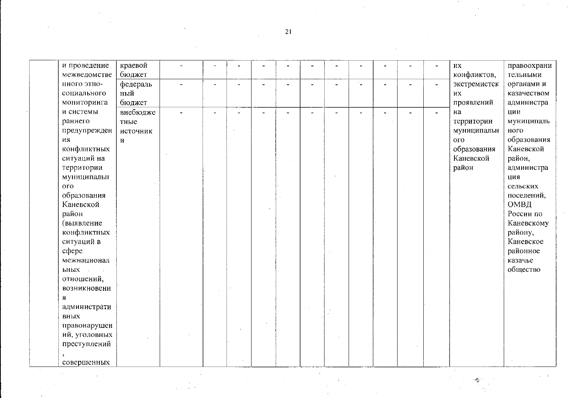$\ddot{\phantom{a}}$ 

| и проведение   | краевой      |                          |         |                      |                |    |                          |        |                | ИХ              | правоохрани |
|----------------|--------------|--------------------------|---------|----------------------|----------------|----|--------------------------|--------|----------------|-----------------|-------------|
| межведомстве   | бюджет       |                          |         |                      |                |    |                          |        |                | конфликтов,     | тельными    |
| нного этно-    | федераль     |                          |         | $\ddot{\phantom{1}}$ |                | ÷. |                          |        |                | экстремистск    | органами и  |
| социального    | ный          |                          |         |                      |                |    |                          |        |                | ИХ              | казачеством |
| мониторинга    | бюджет       |                          |         |                      |                |    |                          |        |                | проявлений      | администра  |
| и системы      | внебюдже     | $\overline{\phantom{0}}$ |         | $\overline{a}$       | $\overline{a}$ |    | $\overline{\phantom{0}}$ | $\sim$ | $\blacksquare$ | на              | ЦИИ         |
| раннего        | тные         |                          |         |                      |                |    |                          |        |                | территории      | муниципаль  |
| предупрежден   | источник     |                          | $\cdot$ |                      |                |    |                          |        |                | муниципальн     | ного        |
| ия             | $\mathbf{M}$ |                          |         |                      |                |    |                          |        |                | O <sub>LO</sub> | образования |
| конфликтных    |              |                          |         |                      |                |    |                          |        |                | образования     | Каневской   |
| ситуаций на    |              |                          |         |                      |                |    |                          |        |                | Каневской       | район,      |
| территории     |              |                          |         |                      |                |    |                          |        |                | район           | администра  |
| муниципальн    |              |                          |         |                      |                |    |                          |        |                |                 | ция         |
| 0 <sub>0</sub> |              |                          |         |                      |                |    |                          |        |                |                 | сельских    |
| образования    |              |                          |         |                      |                |    |                          |        |                |                 | поселений,  |
| Каневской      |              |                          |         |                      |                |    |                          |        |                |                 | ОМВД        |
| район          |              |                          |         |                      |                |    |                          |        |                |                 | России по   |
| (выявление     |              |                          |         |                      |                |    |                          |        |                |                 | Каневскому  |
| конфликтных    |              |                          |         |                      |                |    |                          |        |                |                 | району,     |
| ситуаций в     |              |                          |         |                      |                |    |                          |        |                |                 | Каневское   |
| сфере          |              |                          |         |                      |                |    |                          |        |                |                 | районное    |
| межнационал    |              |                          |         |                      |                |    |                          |        |                |                 | казачье     |
| ьных .         |              |                          |         |                      |                |    |                          |        |                |                 | общество    |
| отношений,     |              |                          |         |                      |                |    |                          |        |                |                 |             |
| возникновени   |              |                          |         |                      |                |    |                          |        |                |                 |             |
| Я              |              |                          |         |                      |                |    |                          |        |                |                 |             |
| администрати   |              |                          |         |                      |                |    |                          |        |                |                 |             |
| вных           |              |                          |         |                      |                |    |                          |        |                |                 |             |
| правонарушен   |              |                          |         |                      |                |    |                          |        |                |                 |             |
| ий, уголовных  |              |                          |         |                      |                |    |                          |        |                |                 |             |
| преступлений   |              |                          |         |                      |                |    |                          |        |                |                 |             |
|                |              |                          |         |                      |                |    |                          |        |                |                 |             |
| совершенных    |              |                          |         |                      |                |    |                          |        |                |                 |             |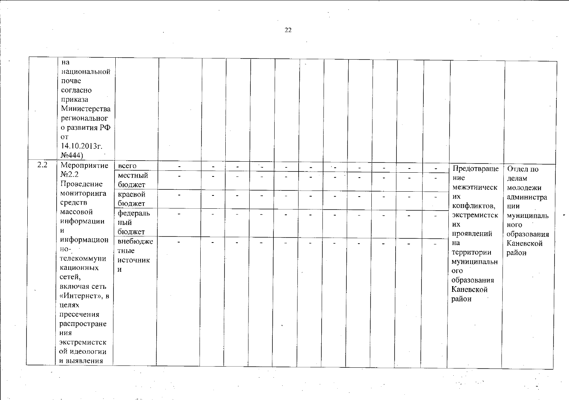$\sim$ 

|     | Ha<br>национальной<br>почве<br>согласно<br>приказа<br>Министерства<br>региональног<br>о развития РФ<br>OT<br>14.10.2013г.<br>N <sub>0</sub> 444                                                 |                                   |                          |                          |                              |                      |                          |                |                          |                          |                          |                                                 |                                                                                                 |                                   |
|-----|-------------------------------------------------------------------------------------------------------------------------------------------------------------------------------------------------|-----------------------------------|--------------------------|--------------------------|------------------------------|----------------------|--------------------------|----------------|--------------------------|--------------------------|--------------------------|-------------------------------------------------|-------------------------------------------------------------------------------------------------|-----------------------------------|
| 2.2 | Мероприятие                                                                                                                                                                                     | всего                             | $\blacksquare$           | $\overline{\phantom{a}}$ | $\qquad \qquad \blacksquare$ | $\ddot{\phantom{a}}$ | $\overline{\phantom{a}}$ | $\sim$ $-$     | $\overline{\phantom{a}}$ | $\blacksquare$           | $\overline{\phantom{a}}$ | $\blacksquare$                                  | Предотвраще                                                                                     | Отдел по                          |
|     | N <sub>2.2</sub><br>Проведение                                                                                                                                                                  | местный<br>бюджет                 |                          | $\blacksquare$           | $\overline{a}$               |                      | $\blacksquare$           | $\overline{a}$ |                          | $\blacksquare$           |                          | $\overline{\phantom{a}}$                        | ние<br>межэтническ                                                                              | делам<br>молодежи                 |
|     | мониторинга<br>средств                                                                                                                                                                          | краевой<br>бюджет                 | $\blacksquare$           |                          | $\overline{a}$               | $\rightarrow$        | $\overline{\phantom{a}}$ |                | $\overline{\phantom{0}}$ | $\overline{\phantom{a}}$ | $\overline{\phantom{a}}$ | $\overline{\phantom{a}}$<br>$\mathcal{L}^{\pm}$ | ИХ<br>конфликтов,                                                                               | администра<br>ЦИИ                 |
|     | массовой<br>информации<br>И                                                                                                                                                                     | федераль<br>ный<br>бюджет         | $\overline{\phantom{0}}$ | $\overline{a}$           | $\overline{a}$               |                      |                          | $\overline{a}$ | $\overline{\phantom{0}}$ | $\overline{a}$           |                          | $\Delta$                                        | экстремистск<br>их<br>проявлений                                                                | муниципаль<br>ного<br>образования |
|     | информацион<br>$HO^{\perp}$<br>телекоммуни<br>кационных<br>сетей,<br>включая сеть<br>«Интернет», в<br>целях<br>пресечения<br>распростране<br>ния<br>экстремистск<br>ой идеологии<br>и выявления | внебюдже<br>тные<br>источник<br>И |                          | ÷.                       |                              |                      | $\overline{\phantom{0}}$ |                | $\blacksquare$           | $\overline{\phantom{0}}$ |                          | $\equiv$                                        | на<br>территории<br>муниципальн<br>$\overline{\text{oro}}$<br>образования<br>Каневской<br>район | Каневской<br>район                |

 $\mathcal{L}_{\rm{max}}$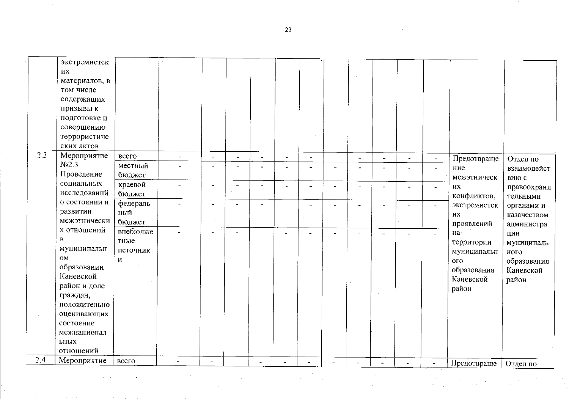|     | экстремистск     |          |                       |                              |                          |                |                      |                          |                          |                          |                          |                          |                       |                 |             |
|-----|------------------|----------|-----------------------|------------------------------|--------------------------|----------------|----------------------|--------------------------|--------------------------|--------------------------|--------------------------|--------------------------|-----------------------|-----------------|-------------|
|     | ИХ               |          |                       |                              |                          |                |                      |                          |                          |                          |                          |                          |                       |                 |             |
|     | материалов, в    |          |                       |                              |                          |                |                      |                          |                          |                          |                          |                          |                       |                 |             |
|     | том числе        |          |                       |                              |                          |                |                      |                          |                          |                          |                          |                          |                       |                 |             |
|     | содержащих       |          |                       |                              |                          |                |                      |                          |                          |                          |                          |                          |                       |                 |             |
|     | призывы к        |          |                       |                              |                          |                |                      |                          |                          |                          |                          |                          |                       |                 |             |
|     | подготовке и     |          |                       |                              |                          |                |                      |                          |                          |                          |                          |                          |                       |                 |             |
|     | совершению       |          |                       |                              |                          |                |                      |                          |                          |                          |                          |                          |                       |                 |             |
|     | террористиче     |          |                       |                              |                          |                |                      |                          |                          |                          |                          |                          |                       |                 |             |
|     | ских актов       |          |                       |                              |                          |                |                      |                          |                          |                          |                          |                          |                       |                 |             |
| 2.3 | Мероприятие      | всего    | $\blacksquare$        | $\blacksquare$               | $\ddot{\phantom{1}}$     | $\equiv$       | $\blacksquare$       | $\blacksquare$           | $\overline{a}$           | $\blacksquare$           | $\tilde{\phantom{a}}$    | $\blacksquare$           | $\blacksquare$        | Предотвраще     | Отдел по    |
|     | N <sub>2.3</sub> | местный  | $\tilde{\phantom{a}}$ | $\blacksquare$               |                          |                |                      | $\blacksquare$           |                          |                          |                          | $\overline{\phantom{0}}$ | $\tilde{\phantom{a}}$ | ние             | взаимодейст |
|     | Проведение       | бюджет   |                       |                              |                          |                |                      |                          |                          |                          |                          |                          |                       | межэтническ     | вию с       |
|     | социальных       | краевой  | $\blacksquare$        | $\qquad \qquad \blacksquare$ |                          | $\blacksquare$ | $\blacksquare$       | $\blacksquare$           | $\overline{\phantom{0}}$ | $\overline{\phantom{0}}$ | $\overline{\phantom{a}}$ |                          |                       | ИХ              | правоохрани |
|     | исследований     | бюджет   |                       |                              |                          |                |                      |                          |                          |                          |                          |                          |                       | конфликтов,     | тельными    |
|     | о состоянии и    | федераль |                       | ÷                            |                          |                | $\ddot{\phantom{1}}$ | $\overline{\phantom{a}}$ | $\overline{\phantom{0}}$ |                          | $\overline{\phantom{0}}$ |                          | $\blacksquare$        | экстремистск    | органами и  |
|     | развитии         | ный      |                       |                              |                          |                |                      |                          |                          |                          |                          |                          |                       | ИХ              | казачеством |
|     | межэтнически     | бюджет   |                       | $\sim$                       |                          |                |                      |                          |                          |                          |                          |                          |                       | проявлений      | администра  |
|     | х отношений      | внебюдже |                       |                              |                          |                | $\blacksquare$       | ÷                        |                          |                          | $\blacksquare$           |                          | $\blacksquare$        | на              | ЦИИ         |
|     | $\bf{B}$         | тные     |                       |                              |                          |                |                      |                          |                          |                          |                          |                          |                       | территории      | муниципаль  |
|     | муниципальн      | источник |                       |                              |                          |                |                      |                          |                          |                          |                          |                          |                       | муниципальн     | ного        |
|     | <b>OM</b>        | и        |                       |                              |                          |                |                      |                          |                          |                          |                          |                          |                       | $\overline{or}$ | образования |
|     | образовании      |          |                       |                              |                          |                |                      |                          |                          |                          |                          |                          |                       | образования     | Каневской   |
|     | Каневской        |          |                       |                              |                          |                |                      |                          |                          |                          |                          |                          |                       | Каневской       | район       |
|     | район и доле     |          |                       |                              |                          |                |                      |                          |                          |                          |                          |                          |                       | район           |             |
|     | граждан,         |          |                       |                              |                          |                |                      |                          |                          |                          | $\sim$                   |                          |                       |                 |             |
|     | положительно     |          |                       |                              |                          |                |                      |                          |                          |                          |                          |                          |                       |                 |             |
|     | оценивающих      |          |                       |                              |                          |                |                      |                          |                          |                          |                          |                          |                       |                 |             |
|     | состояние        |          |                       |                              |                          |                |                      |                          |                          |                          |                          |                          |                       |                 |             |
|     | межнационал      |          |                       |                              |                          |                |                      |                          |                          |                          |                          |                          |                       |                 |             |
|     | ьных             |          |                       |                              |                          |                |                      |                          |                          |                          |                          |                          |                       |                 |             |
|     | отношений        |          |                       |                              |                          |                |                      |                          |                          |                          |                          |                          |                       |                 |             |
| 2.4 | Мероприятие      | всего    |                       |                              | $\overline{\phantom{0}}$ | $\equiv$       | $\bullet$            |                          | $\overline{\phantom{0}}$ |                          |                          |                          | $\overline{a}$        | Предотвраше     | Отлел по    |

 $\sim$ 

 $\hat{A}$ 

 $\mathcal{L}^{\pm}$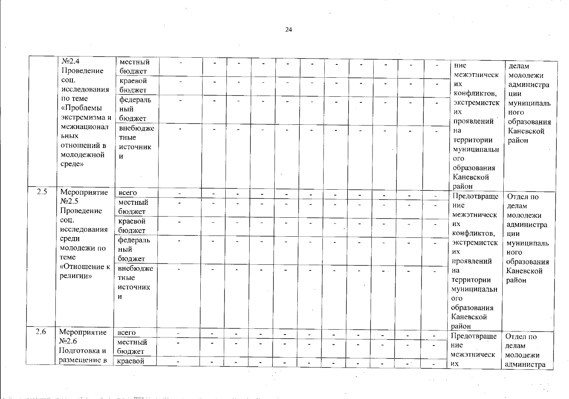|     | N <sub>2.4</sub> |                 |                          |                          |                          |                |                          |                          |                          |                |                      |                |                          |                          |             |
|-----|------------------|-----------------|--------------------------|--------------------------|--------------------------|----------------|--------------------------|--------------------------|--------------------------|----------------|----------------------|----------------|--------------------------|--------------------------|-------------|
|     |                  | местный         |                          |                          |                          |                |                          |                          |                          |                |                      |                |                          | ние                      | делам       |
|     | Проведение       | бюджет          |                          |                          |                          |                |                          |                          |                          |                |                      |                |                          | межэтническ              | молодежи    |
|     | соц.             | краевой         | $\overline{a}$           | $\overline{\phantom{a}}$ |                          |                |                          | $\overline{\phantom{0}}$ |                          |                |                      | $\blacksquare$ | $\blacksquare$           | их                       | администра  |
|     | исследования     | бюджет          |                          |                          |                          |                |                          |                          |                          |                |                      |                |                          | конфликтов,              | ции         |
|     | по теме          | федераль        |                          | $\overline{\phantom{0}}$ |                          |                | $\ddot{\phantom{0}}$     | $\overline{a}$           |                          |                |                      |                |                          | экстремистск             | муниципаль  |
|     | «Проблемы        | ный             |                          |                          |                          |                |                          |                          |                          |                |                      |                |                          | ИХ                       | ного        |
|     | экстремизма и    | бюджет          |                          |                          |                          |                |                          |                          |                          |                |                      |                |                          | проявлений               | образования |
|     | межнационал      | внебюдже        |                          |                          |                          |                |                          |                          |                          |                |                      |                |                          | на                       | Каневской   |
|     | ьных             | тные            |                          |                          |                          |                |                          |                          |                          |                |                      |                |                          | территории               | район       |
|     | отношений в      | источник        |                          |                          |                          |                |                          |                          |                          |                |                      |                |                          | муниципальн              |             |
|     | молодежной       | И               |                          |                          |                          |                |                          |                          |                          |                |                      |                |                          | ого                      |             |
|     | среде»           |                 |                          |                          |                          |                |                          |                          |                          |                |                      |                |                          |                          |             |
|     |                  |                 |                          |                          |                          |                |                          |                          |                          |                |                      |                |                          | образования<br>Каневской |             |
|     |                  |                 |                          |                          |                          |                |                          |                          |                          |                |                      |                |                          |                          |             |
| 2.5 | Мероприятие      | всего           | $\overline{\phantom{a}}$ | $\blacksquare$           | $\blacksquare$           | $\blacksquare$ | $\blacksquare$           | $\overline{\phantom{a}}$ | $\tilde{\phantom{a}}$    |                |                      |                |                          | район                    |             |
|     | N <sub>2.5</sub> | местный         |                          | $\overline{\phantom{a}}$ |                          |                | $\overline{\phantom{a}}$ | $\overline{a}$           | $\overline{\phantom{a}}$ |                | $\blacksquare$       | $\blacksquare$ | $\blacksquare$           | Предотвраще              | Отдел по    |
|     | Проведение       | бюджет          |                          |                          |                          |                |                          |                          |                          |                | $\overline{a}$       |                | $\sim$                   | ние                      | делам       |
|     | соц.             | краевой         |                          | $\overline{\phantom{a}}$ | $\overline{\phantom{a}}$ | $\overline{a}$ |                          |                          |                          |                |                      |                |                          | межэтническ              | молодежи    |
|     | исследования     | бюджет          |                          |                          |                          |                | <b>.</b>                 | $\blacksquare$           |                          | $\overline{a}$ | L                    | $\omega^{-1}$  | $\blacksquare$           | их                       | администра  |
|     | среди            |                 |                          |                          |                          |                |                          |                          |                          |                |                      |                |                          | конфликтов,              | ЦИИ         |
|     | молодежи по      | федераль<br>ный |                          |                          |                          |                | -                        | L.                       | L.                       |                |                      |                |                          | экстремистск             | муниципаль  |
|     | теме             |                 |                          |                          |                          |                |                          |                          |                          |                |                      |                |                          | HX                       | ного        |
|     | «Отношение к     | бюджет          |                          |                          |                          |                |                          |                          |                          |                |                      |                |                          | проявлений               | образования |
|     |                  | внебюдже        |                          |                          |                          |                |                          |                          |                          |                | $\blacksquare$       |                |                          | Ha                       | Каневской   |
|     | религии»         | тные            |                          |                          |                          |                |                          |                          |                          |                |                      |                |                          | территории               | район       |
|     |                  | источник        |                          |                          |                          |                |                          |                          |                          |                |                      |                |                          | муниципальн              |             |
|     |                  | И               |                          |                          |                          |                |                          |                          |                          |                |                      |                |                          | O <sub>LO</sub>          |             |
|     |                  |                 |                          |                          |                          |                |                          |                          |                          |                |                      |                |                          | образования              |             |
|     |                  |                 |                          |                          |                          |                |                          |                          |                          |                |                      |                |                          | Каневской                |             |
|     |                  |                 |                          |                          |                          |                |                          |                          |                          |                |                      |                |                          | район                    |             |
| 2.6 | Мероприятие      | всего           | $\overline{\phantom{a}}$ | $\blacksquare$           | $\blacksquare$           | $\blacksquare$ | $\overline{\phantom{a}}$ | $\ddot{\phantom{1}}$     | $\overline{a}$           |                | $\ddot{\phantom{1}}$ | $\blacksquare$ | $\overline{\phantom{a}}$ | Предотвраще              | Отдел по    |
|     | N <sub>2.6</sub> | местный         |                          |                          |                          |                |                          |                          |                          |                |                      |                |                          | ние                      | делам       |
|     | Подготовка и     | бюджет          |                          |                          |                          |                |                          |                          |                          |                |                      |                |                          | межэтническ              | молодежи    |
|     | размещение в     | краевой         |                          |                          |                          |                | $\frac{1}{2}$            |                          | $\blacksquare$           |                | $\blacksquare$       | $\blacksquare$ |                          | их                       | администра  |
|     |                  |                 |                          |                          |                          |                |                          |                          |                          |                |                      |                |                          |                          |             |

 $\sim$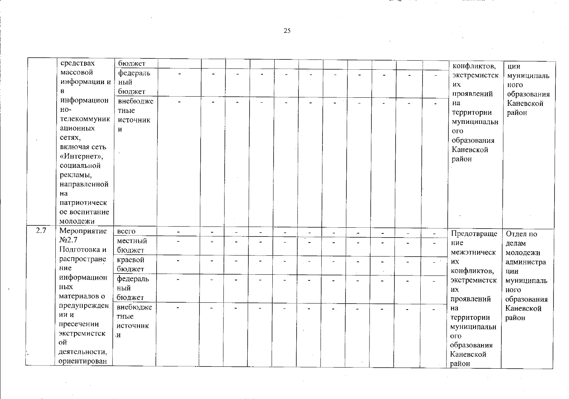|     | средствах        | бюджет   |                          |                          |                          |                          |                          |                          |                       |                |                          |                          | конфликтов,     | ЦИИ         |
|-----|------------------|----------|--------------------------|--------------------------|--------------------------|--------------------------|--------------------------|--------------------------|-----------------------|----------------|--------------------------|--------------------------|-----------------|-------------|
|     | массовой         | федераль | $\ddot{\phantom{1}}$     |                          |                          |                          |                          |                          |                       |                |                          | $\overline{\phantom{a}}$ | экстремистск    | муниципаль  |
|     | информации и     | ный      |                          |                          |                          |                          |                          |                          |                       |                |                          |                          | ИХ              | ного        |
|     | $\mathbf B$      | бюджет   |                          |                          |                          |                          |                          |                          |                       |                |                          |                          | проявлений      | образования |
|     | информацион      | внебюдже |                          |                          | ÷,                       |                          | $\blacksquare$           |                          |                       | $\blacksquare$ |                          | $\blacksquare$           | на              | Каневской   |
|     | HO-              | тные     |                          |                          |                          |                          |                          |                          |                       |                |                          |                          | территории      | район       |
|     | телекоммуник     | источник |                          |                          |                          |                          |                          |                          |                       |                |                          |                          | муниципальн     |             |
|     | ационных         | И        |                          |                          |                          |                          |                          |                          |                       |                |                          |                          | O <sub>LO</sub> |             |
|     | сетях,           |          |                          |                          |                          |                          |                          |                          |                       |                |                          |                          | образования     |             |
|     | включая сеть     |          |                          |                          |                          |                          |                          |                          |                       |                |                          |                          | Каневской       |             |
|     | «Интернет»,      |          |                          |                          |                          |                          |                          |                          |                       |                |                          |                          | район           |             |
|     | социальной       |          |                          |                          |                          |                          |                          |                          |                       |                |                          |                          |                 |             |
|     | рекламы,         |          |                          |                          |                          |                          |                          |                          |                       |                |                          |                          |                 |             |
|     | направленной     |          |                          |                          |                          |                          |                          |                          |                       |                |                          |                          |                 |             |
|     | на               |          |                          |                          |                          |                          |                          |                          |                       |                |                          |                          |                 |             |
|     | патриотическ     |          |                          |                          |                          |                          |                          |                          |                       |                |                          |                          |                 |             |
|     | ое воспитание    |          |                          |                          |                          |                          |                          |                          |                       |                |                          |                          |                 |             |
|     | молодежи         |          |                          |                          |                          |                          |                          |                          |                       |                |                          |                          |                 |             |
| 2.7 | Мероприятие      | всего    | $\blacksquare$           | $\overline{\phantom{0}}$ | $\overline{\phantom{0}}$ | $\blacksquare$           | $\overline{a}$           | $\blacksquare$           | $\sim$                | $\blacksquare$ | $\blacksquare$           | $\sim$                   | Предотвраще     | Отдел по    |
|     | N <sub>2.7</sub> | местный  | $\overline{a}$           |                          |                          | $\overline{\phantom{a}}$ | $\overline{\phantom{0}}$ |                          |                       |                | $\overline{\phantom{a}}$ | $\overline{\phantom{a}}$ | ние             | делам       |
|     | Подготовка и     | бюджет   |                          |                          |                          |                          |                          |                          |                       |                |                          |                          | межэтническ     | молодежи    |
|     | распростране     | краевой  | $\blacksquare$           | $\overline{\phantom{a}}$ |                          | $\overline{\phantom{a}}$ | $\mu$ , $\sigma$         | $\overline{\phantom{a}}$ | $\tilde{\phantom{a}}$ | ÷,             | $\overline{a}$           | $\omega$ . $\gamma$      | их              | администра  |
|     | ние              | бюджет   |                          |                          |                          |                          |                          |                          |                       |                |                          |                          | конфликтов,     | ЦИИ         |
|     | информацион      | федераль | $\overline{\phantom{a}}$ |                          |                          |                          |                          |                          |                       |                |                          |                          | экстремистск    | муниципаль  |
|     | НЫХ              | ный      |                          |                          |                          |                          |                          |                          |                       |                |                          |                          | их              | ного        |
|     | материалов о     | бюджет   |                          |                          |                          |                          |                          |                          |                       |                |                          |                          | проявлений      | образования |
|     | предупрежден     | внебюдже | $\overline{\phantom{a}}$ | $\blacksquare$           |                          | $\overline{a}$           | $\blacksquare$           |                          |                       |                |                          |                          | Ha              | Каневской   |
|     | ии и             | тные     |                          |                          |                          |                          |                          |                          |                       |                |                          |                          | территории      | район       |
|     | пресечении       | источник |                          |                          |                          |                          | $\ddot{\phantom{0}}$     |                          |                       |                |                          |                          | муниципальн     |             |
|     | экстремистск     | И        |                          |                          |                          |                          |                          |                          |                       |                |                          |                          | ого             |             |
|     | ой               |          |                          |                          |                          |                          |                          |                          |                       |                |                          |                          | образования     |             |
|     | деятельности,    |          |                          |                          |                          |                          |                          |                          |                       |                |                          |                          | Каневской       |             |
|     | ориентирован     |          |                          |                          |                          |                          |                          |                          |                       |                |                          |                          | район           |             |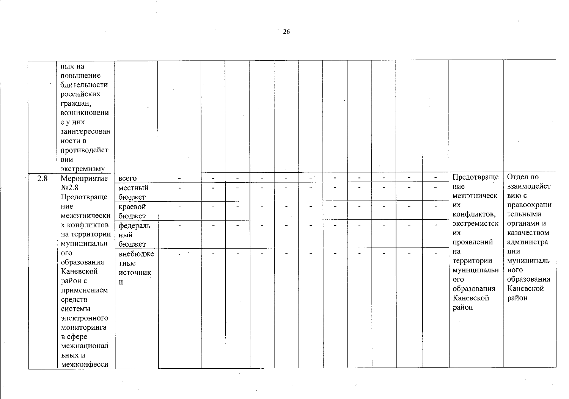|     | ных на           |          |                           |                          |                          |                          |                          |                          |                          |                          |                            |                          |                |                        |             |
|-----|------------------|----------|---------------------------|--------------------------|--------------------------|--------------------------|--------------------------|--------------------------|--------------------------|--------------------------|----------------------------|--------------------------|----------------|------------------------|-------------|
|     | повышение        |          |                           |                          |                          |                          |                          |                          |                          |                          |                            |                          |                |                        |             |
|     | бдительности     |          |                           |                          |                          |                          |                          |                          |                          |                          |                            |                          |                |                        |             |
|     | российских       |          |                           |                          |                          |                          |                          |                          |                          |                          |                            |                          |                |                        |             |
|     | граждан,         |          |                           |                          |                          |                          |                          |                          |                          |                          |                            |                          |                |                        |             |
|     | возникновени     |          |                           |                          |                          |                          |                          |                          |                          |                          |                            |                          |                |                        |             |
|     | е у них          |          |                           |                          |                          |                          |                          |                          |                          |                          |                            |                          |                |                        |             |
|     | заинтересован    |          |                           |                          |                          |                          |                          |                          |                          |                          |                            |                          |                |                        |             |
|     | ности в          |          |                           |                          |                          |                          |                          |                          |                          |                          |                            |                          |                |                        |             |
|     | противодейст     |          |                           |                          |                          |                          |                          |                          |                          |                          |                            |                          |                |                        |             |
|     | вии              |          |                           |                          |                          |                          |                          |                          |                          |                          |                            |                          |                |                        |             |
|     | экстремизму      |          |                           |                          |                          |                          |                          |                          |                          |                          |                            |                          |                |                        |             |
| 2.8 | Мероприятие      | всего    | $\sim$<br>$\overline{a}$  | $\blacksquare$           | $\rightarrow$            | $\blacksquare$           | $\blacksquare$           | $\sim$ $^{\circ}$        | $\tilde{\phantom{a}}$    | $\blacksquare$           | $\blacksquare$             | $\blacksquare$           | $\blacksquare$ | Предотвраще            | Отдел по    |
|     | N <sub>2.8</sub> | местный  |                           | $\tilde{\phantom{a}}$    |                          | $\overline{\phantom{a}}$ | $\blacksquare$           | $\overline{\phantom{a}}$ |                          |                          | ٠                          | $\overline{\phantom{a}}$ | $\sim$         | ние                    | взаимодейст |
|     | Предотвраще      | бюджет   |                           |                          |                          |                          |                          |                          |                          |                          |                            |                          |                | межэтническ            | вию с       |
|     | ние              | краевой  |                           | $\overline{\phantom{a}}$ | $\overline{\phantom{a}}$ | $\sim$                   | $\overline{\phantom{a}}$ | $\blacksquare$           | $\overline{\phantom{0}}$ | $\overline{\phantom{0}}$ | $\overline{\phantom{a}}$ . | $\tilde{\phantom{a}}$    | $\sim$         | $\mathbf{H}\mathbf{X}$ | правоохрани |
|     | межэтнически     | бюджет   |                           |                          |                          |                          |                          |                          |                          |                          |                            |                          |                | конфликтов,            | тельными    |
|     | х конфликтов     | федераль |                           | $\overline{\phantom{a}}$ |                          |                          |                          |                          |                          |                          |                            |                          | $\sim$         | экстремистск           | органами и  |
|     | на территории    | ный      |                           |                          |                          |                          |                          |                          |                          |                          |                            |                          |                | ИХ                     | казачеством |
|     | муниципальн      | бюджет   |                           |                          |                          |                          |                          |                          |                          |                          |                            |                          |                | проявлений             | администра  |
|     | 0 <sub>10</sub>  | внебюдже | $\mathbf{L}^{\text{max}}$ | $\blacksquare$           |                          |                          | $\overline{a}$           |                          |                          |                          | ٠                          |                          | $\blacksquare$ | на                     | ЦИИ         |
|     | образования      | тные     |                           |                          |                          |                          |                          |                          |                          |                          |                            |                          |                | территории             | муниципаль  |
|     | Каневской        | источник |                           |                          |                          |                          |                          |                          |                          |                          |                            |                          |                | муниципальн            | ного        |
|     | район с          | И        |                           |                          |                          |                          |                          |                          |                          |                          |                            |                          |                | ого                    | образования |
|     | применением      |          |                           |                          |                          |                          |                          |                          |                          |                          |                            |                          |                | образования            | Каневской   |
|     | средств          |          |                           |                          |                          |                          |                          |                          |                          |                          |                            |                          |                | Каневской              | район       |
|     | системы          |          |                           |                          |                          |                          |                          |                          |                          |                          |                            |                          |                | район                  |             |
|     | электронного     |          |                           |                          |                          |                          |                          |                          |                          |                          |                            |                          |                |                        |             |
|     | мониторинга      |          |                           |                          |                          |                          |                          |                          |                          |                          |                            |                          |                |                        |             |
|     | в сфере          |          |                           |                          |                          |                          |                          |                          |                          |                          |                            |                          |                |                        |             |
|     | межнационал      |          |                           |                          |                          |                          |                          |                          |                          |                          |                            |                          |                |                        |             |
|     | ьных и           |          |                           |                          |                          |                          |                          |                          |                          |                          |                            |                          |                |                        |             |
|     | межконфесси      |          |                           |                          |                          |                          |                          |                          |                          |                          |                            |                          |                |                        |             |

 $\cdot$ 

 $\sim$ 

 $\sim$ 

 $\sim$ 

 $\sim$   $\alpha$ 

 $\cdot$  26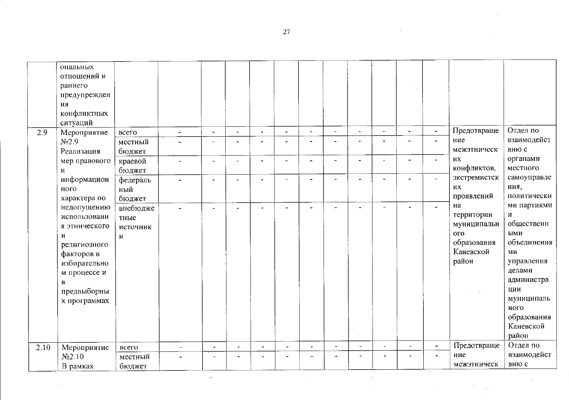| 2.9  | ональных<br>отношений и<br>раннего<br>предупрежден<br>ИЯ<br>конфликтных<br>ситуаций<br>Мероприятие                                                  | всего                             | $\overline{\phantom{a}}$ | $\ddot{\phantom{0}}$ | $\overline{\phantom{a}}$ | $\overline{\phantom{a}}$ | $\overline{\phantom{a}}$ | $\tilde{\phantom{a}}$    | ÷                        | $\overline{\phantom{a}}$ | $\overline{a}$           | $\overline{\phantom{a}}$ | $\blacksquare$ | Предотвраще                                                                             | Отдел по                                                                                                                                                           |
|------|-----------------------------------------------------------------------------------------------------------------------------------------------------|-----------------------------------|--------------------------|----------------------|--------------------------|--------------------------|--------------------------|--------------------------|--------------------------|--------------------------|--------------------------|--------------------------|----------------|-----------------------------------------------------------------------------------------|--------------------------------------------------------------------------------------------------------------------------------------------------------------------|
|      | N <sub>2.9</sub><br>Реализация                                                                                                                      | местный<br>бюджет                 |                          | $\blacksquare$       |                          |                          | $\blacksquare$           | $\blacksquare$           | ÷                        | $\blacksquare$           | $\tilde{\phantom{a}}$    | $\overline{\phantom{a}}$ |                | ние<br>межэтническ                                                                      | взаимодейст<br>вию с                                                                                                                                               |
|      | мер правового<br>и                                                                                                                                  | краевой<br>бюджет                 |                          | $\blacksquare$       |                          |                          | $\qquad \qquad$          |                          |                          |                          | L.                       |                          |                | ИХ<br>конфликтов,                                                                       | органами<br>местного                                                                                                                                               |
|      | информацион<br>ного<br>характера по                                                                                                                 | федераль<br>ный<br>бюджет         |                          |                      |                          | $\blacksquare$           | $\overline{\phantom{0}}$ |                          |                          |                          |                          |                          |                | экстремистск<br>их<br>проявлений                                                        | самоуправле<br>ния,<br>политически                                                                                                                                 |
|      | недопущению<br>использовани<br>я этнического<br>И<br>религиозного<br>факторов в<br>избирательно<br>м процессе и<br>В<br>предвыборны<br>х программах | внебюдже<br>тные<br>источник<br>И |                          | $\blacksquare$       |                          | $\overline{\phantom{a}}$ | $\overline{\phantom{a}}$ |                          | $\blacksquare$           |                          | $\overline{a}$           |                          |                | на<br>территории<br>муниципальн<br>O <sub>LO</sub><br>образования<br>Каневской<br>район | ми партиями<br>И<br>общественн<br>ЫМИ<br>объединения<br>МИ<br>управления<br>делами<br>администра<br>ЦИИ<br>муниципаль<br>ного<br>образования<br>Каневской<br>район |
| 2.10 | Мероприятие                                                                                                                                         | всего                             | $\overline{\phantom{a}}$ | $\blacksquare$       | $\blacksquare$           | $\blacksquare$           | $\overline{\phantom{a}}$ | $\overline{\phantom{a}}$ | $\overline{\phantom{0}}$ |                          | $\overline{\phantom{0}}$ | $\rightarrow$            | $\sim$         | Предотвраще                                                                             | Отдел по                                                                                                                                                           |
|      | N <sub>2.10</sub><br>В рамках                                                                                                                       | местный<br>бюджет                 |                          |                      |                          |                          |                          |                          |                          |                          |                          |                          |                | ние<br>межэтническ                                                                      | взаимодейст<br>вию с                                                                                                                                               |

 $\cdot$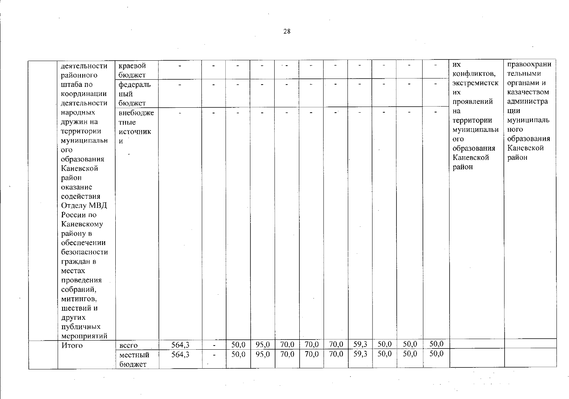$\bar{z}$ 

 $\bar{\mathbf{v}}$ 

| деятельности | краевой      |                    |                       |      |      | $\cdot$ $\sim$ |      |      |      | $\blacksquare$ |      |                | ИХ              | правоохрани |
|--------------|--------------|--------------------|-----------------------|------|------|----------------|------|------|------|----------------|------|----------------|-----------------|-------------|
| районного    | бюджет       |                    |                       |      |      |                |      |      |      |                |      |                | конфликтов,     | тельными    |
| штаба по     | федераль     |                    |                       |      |      |                |      |      |      | $\sim$         |      | $\blacksquare$ | экстремистск    | органами и  |
| координации  | ный          |                    |                       |      |      |                |      |      |      |                |      |                | ИX              | казачеством |
| деятельности | бюджет       |                    |                       |      |      |                |      |      |      |                |      |                | проявлений      | администра  |
| народных     | внебюдже     |                    |                       |      |      |                |      | $-$  |      | $\blacksquare$ |      | $\blacksquare$ | на              | ЦИИ         |
| дружин на    | тные         |                    |                       |      |      |                |      |      |      |                |      |                | территории      | муниципаль  |
| территории   | источник     |                    |                       |      |      |                |      |      |      |                |      |                | муниципальн     | ного        |
| муниципальн  | $\mathbf{M}$ |                    |                       |      |      |                |      |      |      |                |      |                | O <sub>LO</sub> | образования |
| ого          |              |                    |                       |      |      |                |      |      |      |                |      |                | образования     | Каневской   |
| образования  |              |                    |                       |      |      |                |      |      |      |                |      |                | Каневской       | район       |
| Каневской    |              |                    |                       |      |      |                |      |      |      |                |      |                | район           |             |
| район        |              |                    |                       |      |      |                |      |      |      |                |      |                |                 |             |
| оказание     |              |                    |                       |      |      |                |      |      |      |                |      |                |                 |             |
| содействия   |              |                    |                       |      |      |                |      |      |      |                |      |                |                 |             |
| Отделу МВД   |              |                    |                       |      |      |                |      |      |      |                |      |                |                 |             |
| России по    |              |                    |                       |      |      |                |      |      |      |                |      |                |                 |             |
| Каневскому   |              |                    |                       |      |      |                |      |      |      |                |      |                |                 |             |
| району в     |              |                    |                       |      |      |                |      |      |      |                |      |                |                 |             |
| обеспечении  |              |                    |                       |      |      |                |      |      |      |                |      |                |                 |             |
| безопасности |              |                    |                       |      |      |                |      |      |      |                |      |                |                 |             |
| граждан в    |              |                    |                       |      |      |                |      |      |      |                |      |                |                 |             |
| местах       |              |                    |                       |      |      |                |      |      |      |                |      |                |                 |             |
| проведения   |              |                    |                       |      |      |                |      |      |      |                |      |                |                 |             |
| собраний,    |              |                    |                       |      |      |                |      |      |      |                |      |                |                 |             |
| митингов,    |              |                    |                       |      |      |                |      |      |      |                |      |                |                 |             |
| шествий и    |              |                    |                       |      |      |                |      |      |      |                |      |                |                 |             |
| других       |              |                    |                       |      |      |                |      |      |      |                |      |                |                 |             |
| публичных    |              |                    |                       |      |      |                |      |      |      |                |      |                |                 |             |
| мероприятий  |              |                    |                       |      |      |                |      |      |      |                |      |                |                 |             |
| Итого        | <b>BCero</b> | $\overline{564,3}$ | $\blacksquare$        | 50,0 | 95,0 | 70,0           | 70,0 | 70,0 | 59,3 | 50,0           | 50,0 | 50,0           |                 |             |
|              | местный      | 564,3              | $\tilde{\phantom{a}}$ | 50,0 | 95,0 | 70,0           | 70,0 | 70,0 | 59,3 | 50,0           | 50,0 | 50,0           |                 |             |
|              | бюджет       |                    |                       |      |      |                |      |      |      |                |      |                |                 |             |

 $\sim$  $\sim 10$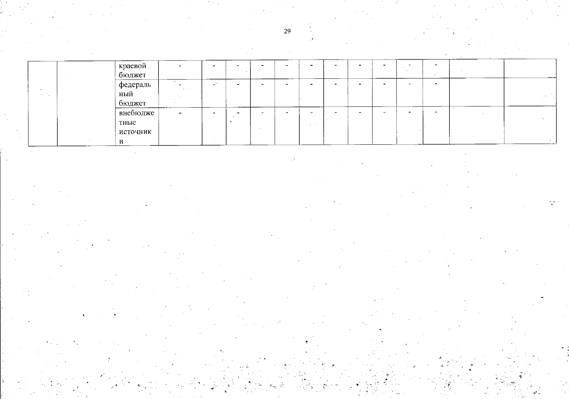| ' краевой<br>бюджет                          | -                                  | - |           |     |   | $\overline{\phantom{0}}$ |                          | $\overline{\phantom{0}}$<br>$\sim$ | $\overline{\phantom{0}}$ |  |                          |
|----------------------------------------------|------------------------------------|---|-----------|-----|---|--------------------------|--------------------------|------------------------------------|--------------------------|--|--------------------------|
| федераль<br>ный<br>бюджет                    | $\sim$<br>$-1$                     | - | <b>**</b> |     |   | $\overline{\phantom{a}}$ |                          | $\overline{\phantom{a}}$           | $\overline{\phantom{0}}$ |  | <b>Contract Contract</b> |
| внебюдже<br>тные<br>источник<br>$\mathbf{M}$ | $\overline{\phantom{0}}$<br>$\sim$ |   |           | . . | - | $\overline{\phantom{a}}$ | $\overline{\phantom{a}}$ | $\overline{\phantom{0}}$           | $\overline{\phantom{0}}$ |  |                          |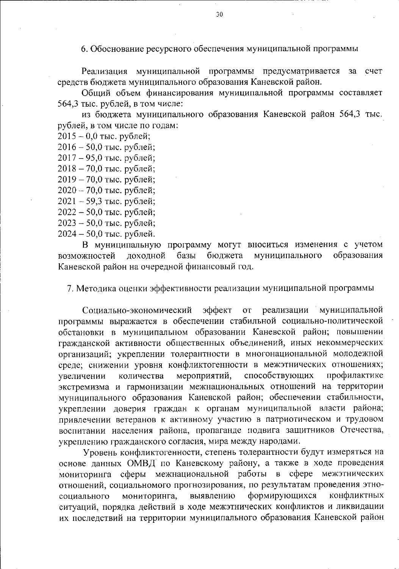6. Обоснование ресурсного обеспечения муниципальной программы

Реализация муниципальной программы предусматривается за счет средств бюджета муниципального образования Каневской район.

Общий объем финансирования муниципальной программы составляет 564,3 тыс. рублей, в том числе:

из бюджета муниципального образования Каневской район 564,3 тыс. рублей, в том числе по годам:

 $2015 - 0.0$  тыс. рублей;

2016 - 50,0 тыс. рублей;

2017 - 95,0 тыс. рублей;

2018 - 70,0 тыс. рублей;

2019 - 70,0 тыс. рублей;

 $2020 - 70,0$  тыс. рублей;

 $2021 - 59,3$  тыс. рублей;

2022 - 50,0 тыс. рублей;

 $2023 - 50,0$  тыс. рублей;

2024 - 50,0 тыс. рублей.

В муниципальную программу могут вноситься изменения с учетом образования возможностей доходной базы бюджета муниципального Каневской район на очередной финансовый год.

7. Методика оценки эффективности реализации муниципальной программы

муниципальной Социально-экономический эффект  $\overline{O}T$ реализации программы выражается в обеспечении стабильной социально-политической обстановки в муниципальном образовании Каневской район; повышении гражданской активности общественных объединений, иных некоммерческих организаций; укреплении толерантности в многонациональной молодежной среде; снижении уровня конфликтогенности в межэтнических отношениях; количества мероприятий, способствующих профилактике увеличении экстремизма и гармонизации межнациональных отношений на территории муниципального образования Каневской район; обеспечении стабильности, укреплении доверия граждан к органам муниципальной власти района; привлечении ветеранов к активному участию в патриотическом и трудовом воспитании населения района, пропаганде подвига защитников Отечества, укреплению гражданского согласия, мира между народами.

Уровень конфликтогенности, степень толерантности будут измеряться на основе данных ОМВД по Каневскому району, а также в ходе проведения мониторинга сферы межнациональной работы сфере межэтнических  $\mathbf{B}$ отношений, социальномого прогнозирования, по результатам проведения этноформирующихся мониторинга, выявлению конфликтных социального ситуаций, порядка действий в ходе межэтнических конфликтов и ликвидации их последствий на территории муниципального образования Каневской район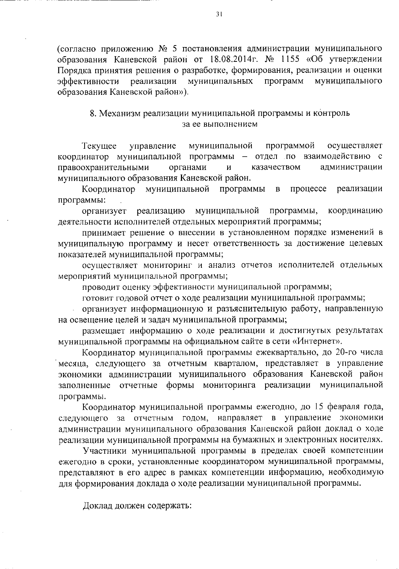(согласно приложению № 5 постановления администрации муниципального образования Каневской район от 18.08.2014г. № 1155 «Об утверждении Порядка принятия решения о разработке, формирования, реализации и оценки эффективности реализации муниципальных программ муниципального образования Каневской район»).

#### 8. Механизм реализации муниципальной программы и контроль за ее выполнением

Текущее осуществляет муниципальной программой управление - отдел по взаимодействию с координатор муниципальной программы правоохранительными органами казачеством администрации И муниципального образования Каневской район.

Координатор муниципальной процессе программы  $\, {\bf B}$ реализации программы:

реализацию муниципальной программы, координацию организует деятельности исполнителей отдельных мероприятий программы;

принимает решение о внесении в установленном порядке изменений в муниципальную программу и несет ответственность за достижение целевых показателей муниципальной программы;

осуществляет мониторинг и анализ отчетов исполнителей отдельных мероприятий муниципальной программы;

проводит оценку эффективности муниципальной программы;

готовит годовой отчет о ходе реализации муниципальной программы;

организует информационную и разъяснительную работу, направленную на освещение целей и задач муниципальной программы;

размещает информацию о ходе реализации и достигнутых результатах муниципальной программы на официальном сайте в сети «Интернет».

Координатор муниципальной программы ежеквартально, до 20-го числа месяца, следующего за отчетным кварталом, представляет в управление экономики администрации муниципального образования Каневской район муниципальной отчетные формы мониторинга реализации заполненные программы.

Координатор муниципальной программы ежегодно, до 15 февраля года, следующего за отчетным годом, направляет в управление экономики администрации муниципального образования Каневской район доклад о ходе реализации муниципальной программы на бумажных и электронных носителях.

Участники муниципальной программы в пределах своей компетенции ежегодно в сроки, установленные координатором муниципальной программы, представляют в его адрес в рамках компетенции информацию, необходимую для формирования доклада о ходе реализации муниципальной программы.

Доклад должен содержать: